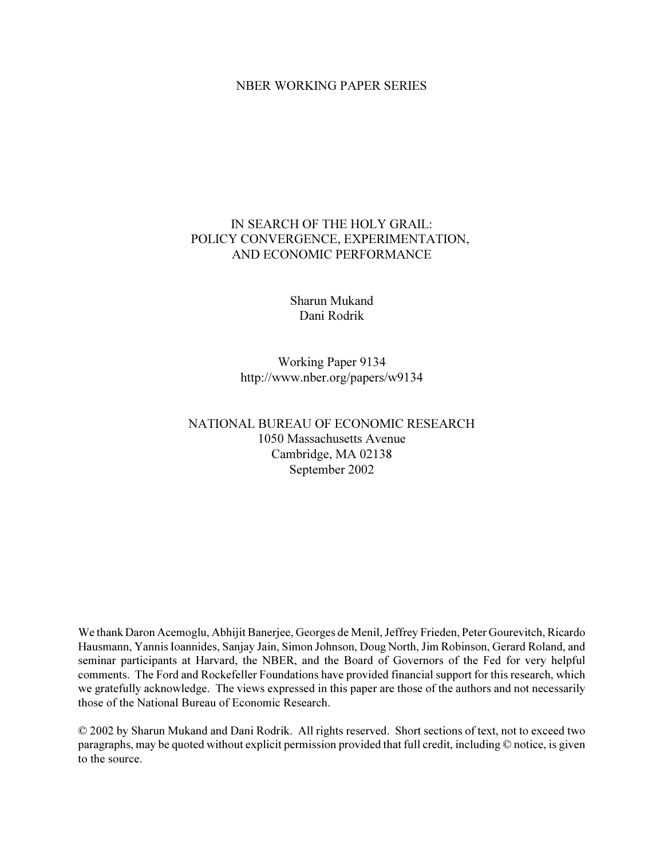## NBER WORKING PAPER SERIES

# IN SEARCH OF THE HOLY GRAIL: POLICY CONVERGENCE, EXPERIMENTATION, AND ECONOMIC PERFORMANCE

Sharun Mukand Dani Rodrik

Working Paper 9134 http://www.nber.org/papers/w9134

# NATIONAL BUREAU OF ECONOMIC RESEARCH 1050 Massachusetts Avenue Cambridge, MA 02138 September 2002

We thank Daron Acemoglu, Abhijit Banerjee, Georges de Menil, Jeffrey Frieden, Peter Gourevitch, Ricardo Hausmann, Yannis Ioannides, Sanjay Jain, Simon Johnson, Doug North, Jim Robinson, Gerard Roland, and seminar participants at Harvard, the NBER, and the Board of Governors of the Fed for very helpful comments. The Ford and Rockefeller Foundations have provided financial support for this research, which we gratefully acknowledge. The views expressed in this paper are those of the authors and not necessarily those of the National Bureau of Economic Research.

© 2002 by Sharun Mukand and Dani Rodrik. All rights reserved. Short sections of text, not to exceed two paragraphs, may be quoted without explicit permission provided that full credit, including © notice, is given to the source.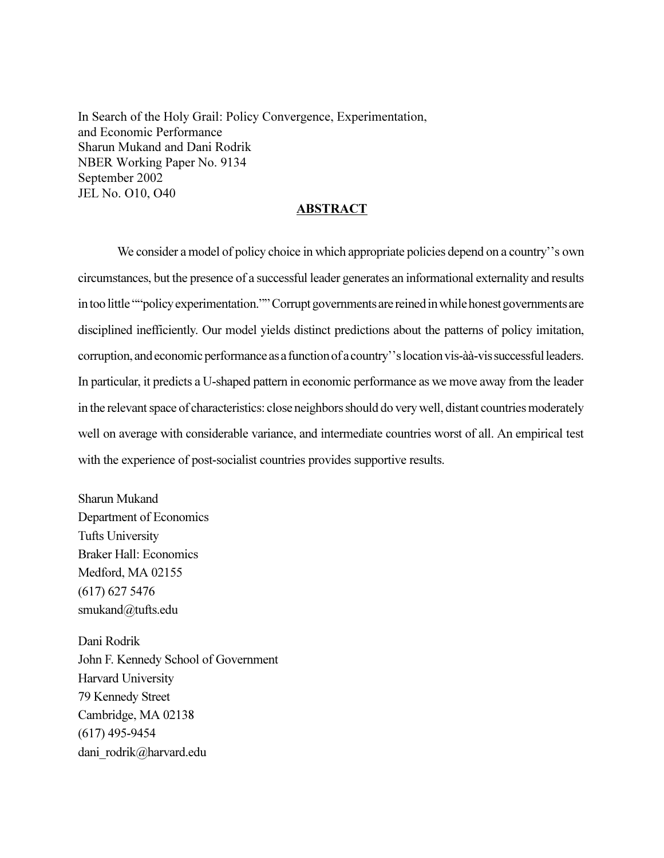In Search of the Holy Grail: Policy Convergence, Experimentation, and Economic Performance Sharun Mukand and Dani Rodrik NBER Working Paper No. 9134 September 2002 JEL No. O10, O40

## ABSTRACT

We consider a model of policy choice in which appropriate policies depend on a country''s own circumstances, but the presence of a successful leader generates an informational externality and results in too little ""policy experimentation."" Corrupt governments are reined in while honest governments are disciplined inefficiently. Our model yields distinct predictions about the patterns of policy imitation, corruption, and economic performance as a function of a country''s location vis-àà-vis successful leaders. In particular, it predicts a U-shaped pattern in economic performance as we move away from the leader in the relevant space of characteristics: close neighbors should do very well, distant countries moderately well on average with considerable variance, and intermediate countries worst of all. An empirical test with the experience of post-socialist countries provides supportive results.

Sharun Mukand Department of Economics Tufts University Braker Hall: Economics Medford, MA 02155 (617) 627 5476 smukand@tufts.edu

Dani Rodrik John F. Kennedy School of Government Harvard University 79 Kennedy Street Cambridge, MA 02138 (617) 495-9454 dani rodrik@harvard.edu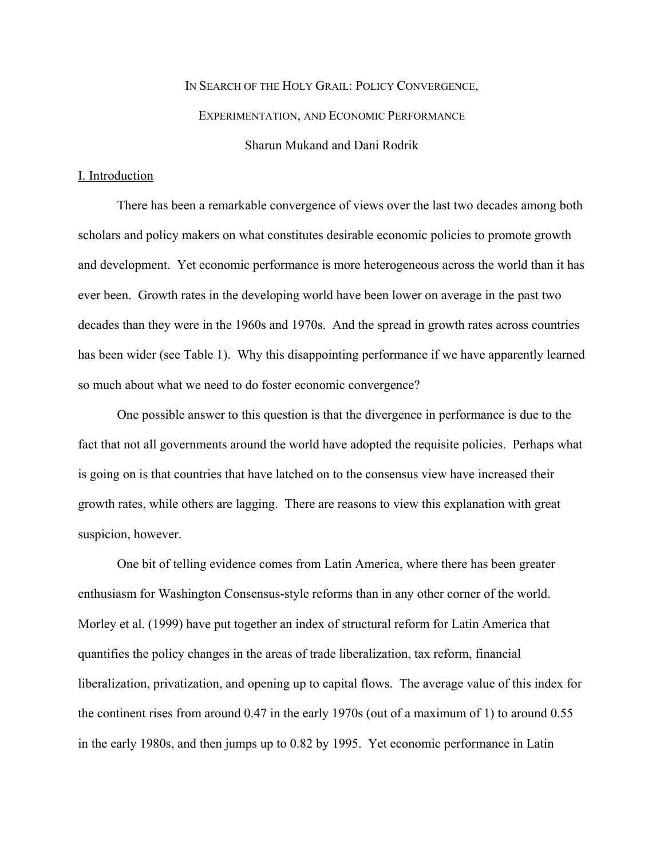# IN SEARCH OF THE HOLY GRAIL: POLICY CONVERGENCE, EXPERIMENTATION, AND ECONOMIC PERFORMANCE Sharun Mukand and Dani Rodrik

## I. Introduction

There has been a remarkable convergence of views over the last two decades among both scholars and policy makers on what constitutes desirable economic policies to promote growth and development. Yet economic performance is more heterogeneous across the world than it has ever been. Growth rates in the developing world have been lower on average in the past two decades than they were in the 1960s and 1970s. And the spread in growth rates across countries has been wider (see Table 1). Why this disappointing performance if we have apparently learned so much about what we need to do foster economic convergence?

One possible answer to this question is that the divergence in performance is due to the fact that not all governments around the world have adopted the requisite policies. Perhaps what is going on is that countries that have latched on to the consensus view have increased their growth rates, while others are lagging. There are reasons to view this explanation with great suspicion, however.

One bit of telling evidence comes from Latin America, where there has been greater enthusiasm for Washington Consensus-style reforms than in any other corner of the world. Morley et al. (1999) have put together an index of structural reform for Latin America that quantifies the policy changes in the areas of trade liberalization, tax reform, financial liberalization, privatization, and opening up to capital flows. The average value of this index for the continent rises from around 0.47 in the early 1970s (out of a maximum of 1) to around 0.55 in the early 1980s, and then jumps up to 0.82 by 1995. Yet economic performance in Latin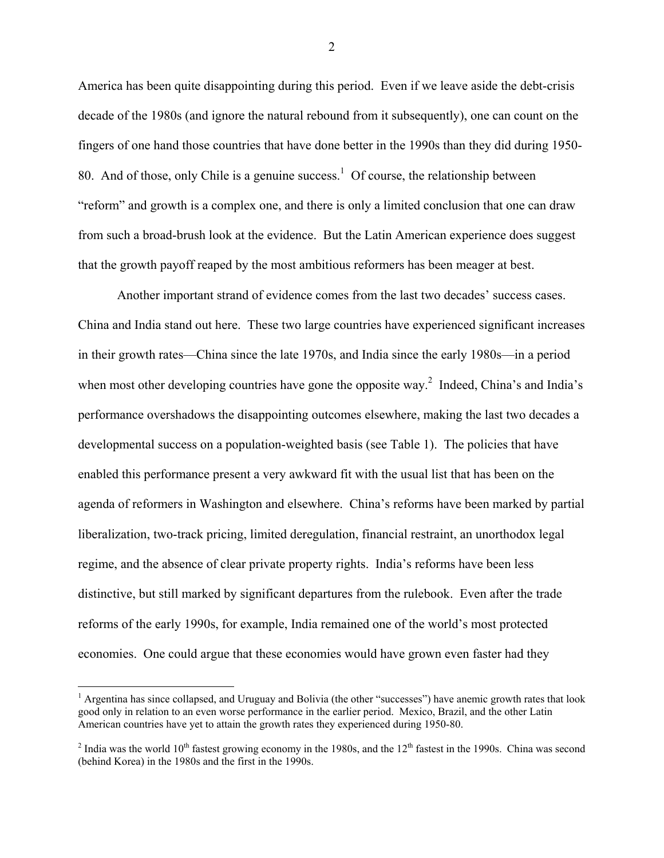America has been quite disappointing during this period. Even if we leave aside the debt-crisis decade of the 1980s (and ignore the natural rebound from it subsequently), one can count on the fingers of one hand those countries that have done better in the 1990s than they did during 1950- 80. And of those, only Chile is a genuine success.<sup>1</sup> Of course, the relationship between "reform" and growth is a complex one, and there is only a limited conclusion that one can draw from such a broad-brush look at the evidence. But the Latin American experience does suggest that the growth payoff reaped by the most ambitious reformers has been meager at best.

Another important strand of evidence comes from the last two decades' success cases. China and India stand out here. These two large countries have experienced significant increases in their growth rates—China since the late 1970s, and India since the early 1980s—in a period when most other developing countries have gone the opposite way.<sup>2</sup> Indeed, China's and India's performance overshadows the disappointing outcomes elsewhere, making the last two decades a developmental success on a population-weighted basis (see Table 1). The policies that have enabled this performance present a very awkward fit with the usual list that has been on the agenda of reformers in Washington and elsewhere. China's reforms have been marked by partial liberalization, two-track pricing, limited deregulation, financial restraint, an unorthodox legal regime, and the absence of clear private property rights. India's reforms have been less distinctive, but still marked by significant departures from the rulebook. Even after the trade reforms of the early 1990s, for example, India remained one of the world's most protected economies. One could argue that these economies would have grown even faster had they

 $\overline{a}$ 

<sup>&</sup>lt;sup>1</sup> Argentina has since collapsed, and Uruguay and Bolivia (the other "successes") have anemic growth rates that look good only in relation to an even worse performance in the earlier period. Mexico, Brazil, and the other Latin American countries have yet to attain the growth rates they experienced during 1950-80.

<sup>&</sup>lt;sup>2</sup> India was the world 10<sup>th</sup> fastest growing economy in the 1980s, and the 12<sup>th</sup> fastest in the 1990s. China was second (behind Korea) in the 1980s and the first in the 1990s.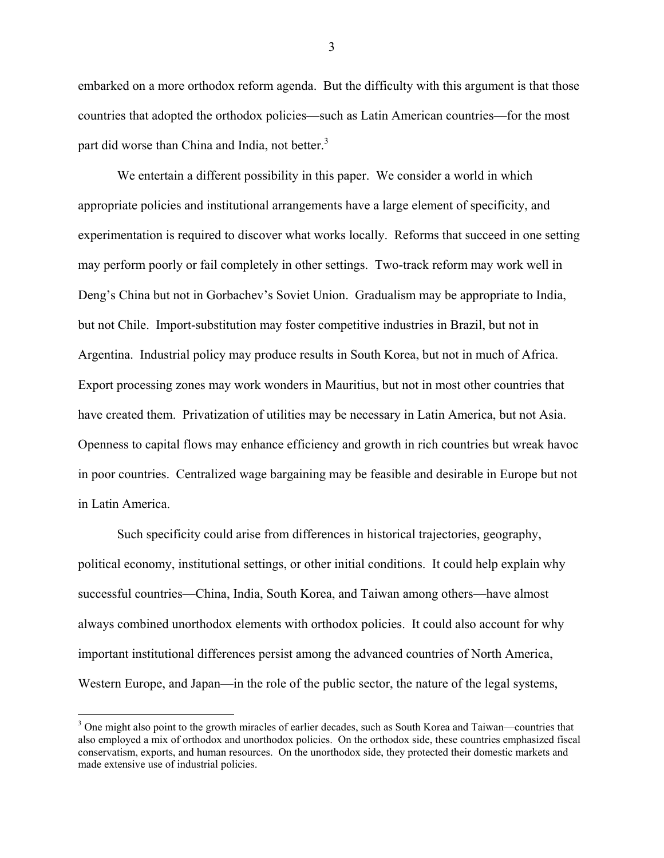embarked on a more orthodox reform agenda. But the difficulty with this argument is that those countries that adopted the orthodox policies—such as Latin American countries—for the most part did worse than China and India, not better.<sup>3</sup>

 We entertain a different possibility in this paper. We consider a world in which appropriate policies and institutional arrangements have a large element of specificity, and experimentation is required to discover what works locally. Reforms that succeed in one setting may perform poorly or fail completely in other settings. Two-track reform may work well in Deng's China but not in Gorbachev's Soviet Union. Gradualism may be appropriate to India, but not Chile. Import-substitution may foster competitive industries in Brazil, but not in Argentina. Industrial policy may produce results in South Korea, but not in much of Africa. Export processing zones may work wonders in Mauritius, but not in most other countries that have created them. Privatization of utilities may be necessary in Latin America, but not Asia. Openness to capital flows may enhance efficiency and growth in rich countries but wreak havoc in poor countries. Centralized wage bargaining may be feasible and desirable in Europe but not in Latin America.

Such specificity could arise from differences in historical trajectories, geography, political economy, institutional settings, or other initial conditions. It could help explain why successful countries—China, India, South Korea, and Taiwan among others—have almost always combined unorthodox elements with orthodox policies. It could also account for why important institutional differences persist among the advanced countries of North America, Western Europe, and Japan—in the role of the public sector, the nature of the legal systems,

 $\overline{a}$ 

<sup>&</sup>lt;sup>3</sup> One might also point to the growth miracles of earlier decades, such as South Korea and Taiwan—countries that also employed a mix of orthodox and unorthodox policies. On the orthodox side, these countries emphasized fiscal conservatism, exports, and human resources. On the unorthodox side, they protected their domestic markets and made extensive use of industrial policies.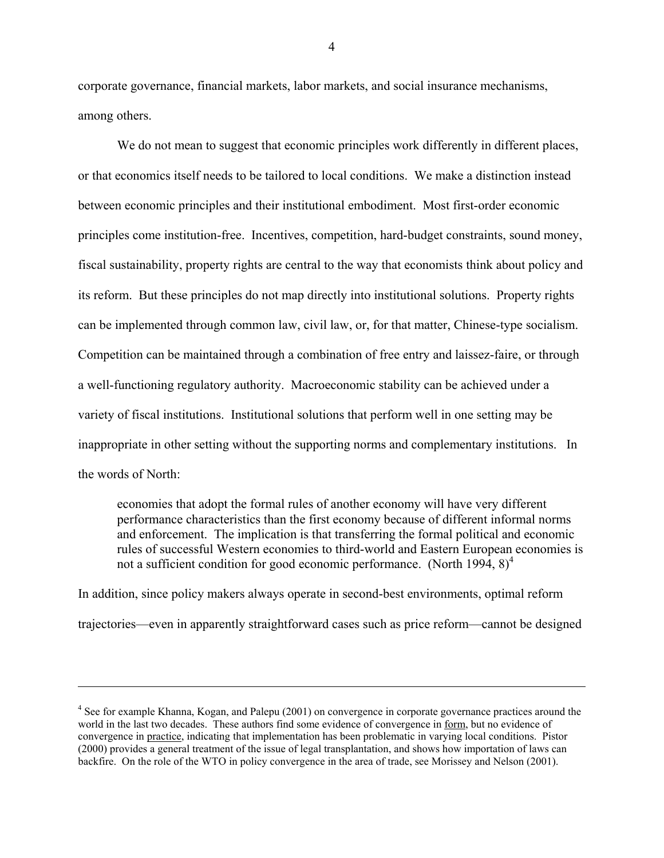corporate governance, financial markets, labor markets, and social insurance mechanisms, among others.

We do not mean to suggest that economic principles work differently in different places, or that economics itself needs to be tailored to local conditions. We make a distinction instead between economic principles and their institutional embodiment. Most first-order economic principles come institution-free. Incentives, competition, hard-budget constraints, sound money, fiscal sustainability, property rights are central to the way that economists think about policy and its reform. But these principles do not map directly into institutional solutions. Property rights can be implemented through common law, civil law, or, for that matter, Chinese-type socialism. Competition can be maintained through a combination of free entry and laissez-faire, or through a well-functioning regulatory authority. Macroeconomic stability can be achieved under a variety of fiscal institutions. Institutional solutions that perform well in one setting may be inappropriate in other setting without the supporting norms and complementary institutions. In the words of North:

economies that adopt the formal rules of another economy will have very different performance characteristics than the first economy because of different informal norms and enforcement. The implication is that transferring the formal political and economic rules of successful Western economies to third-world and Eastern European economies is not a sufficient condition for good economic performance. (North 1994,  $8$ )<sup>4</sup>

In addition, since policy makers always operate in second-best environments, optimal reform trajectories—even in apparently straightforward cases such as price reform—cannot be designed

 $\overline{a}$ 

<sup>&</sup>lt;sup>4</sup> See for example Khanna, Kogan, and Palepu (2001) on convergence in corporate governance practices around the world in the last two decades. These authors find some evidence of convergence in form, but no evidence of convergence in practice, indicating that implementation has been problematic in varying local conditions. Pistor (2000) provides a general treatment of the issue of legal transplantation, and shows how importation of laws can backfire. On the role of the WTO in policy convergence in the area of trade, see Morissey and Nelson (2001).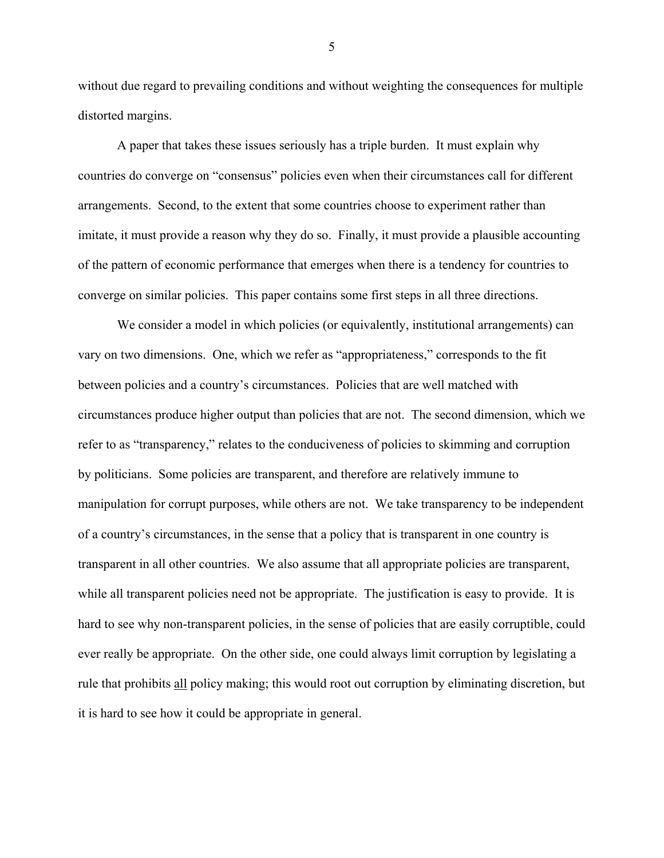without due regard to prevailing conditions and without weighting the consequences for multiple distorted margins.

A paper that takes these issues seriously has a triple burden. It must explain why countries do converge on "consensus" policies even when their circumstances call for different arrangements. Second, to the extent that some countries choose to experiment rather than imitate, it must provide a reason why they do so. Finally, it must provide a plausible accounting of the pattern of economic performance that emerges when there is a tendency for countries to converge on similar policies. This paper contains some first steps in all three directions.

We consider a model in which policies (or equivalently, institutional arrangements) can vary on two dimensions. One, which we refer as "appropriateness," corresponds to the fit between policies and a country's circumstances. Policies that are well matched with circumstances produce higher output than policies that are not. The second dimension, which we refer to as "transparency," relates to the conduciveness of policies to skimming and corruption by politicians. Some policies are transparent, and therefore are relatively immune to manipulation for corrupt purposes, while others are not. We take transparency to be independent of a country's circumstances, in the sense that a policy that is transparent in one country is transparent in all other countries. We also assume that all appropriate policies are transparent, while all transparent policies need not be appropriate. The justification is easy to provide. It is hard to see why non-transparent policies, in the sense of policies that are easily corruptible, could ever really be appropriate. On the other side, one could always limit corruption by legislating a rule that prohibits all policy making; this would root out corruption by eliminating discretion, but it is hard to see how it could be appropriate in general.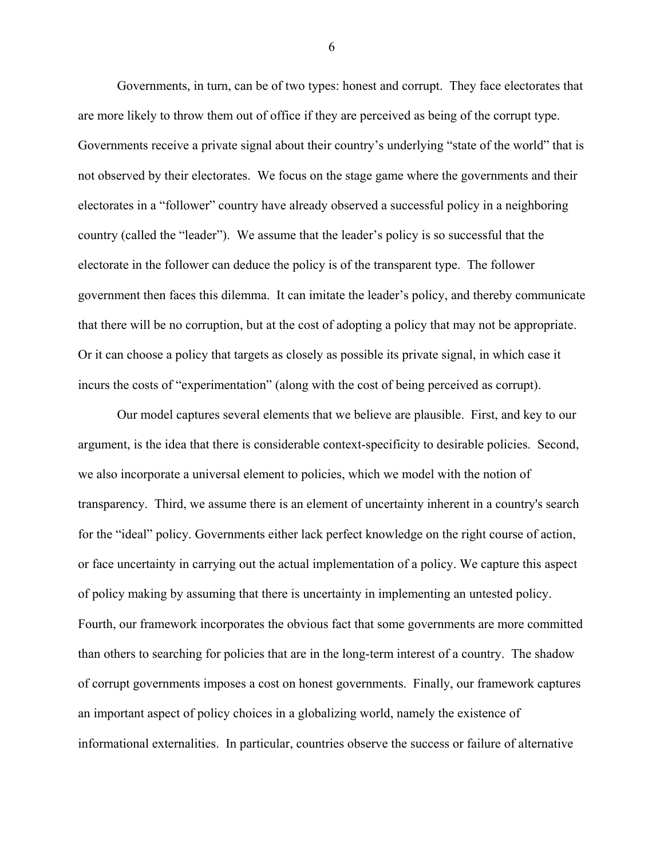Governments, in turn, can be of two types: honest and corrupt. They face electorates that are more likely to throw them out of office if they are perceived as being of the corrupt type. Governments receive a private signal about their country's underlying "state of the world" that is not observed by their electorates. We focus on the stage game where the governments and their electorates in a "follower" country have already observed a successful policy in a neighboring country (called the "leader"). We assume that the leader's policy is so successful that the electorate in the follower can deduce the policy is of the transparent type. The follower government then faces this dilemma. It can imitate the leader's policy, and thereby communicate that there will be no corruption, but at the cost of adopting a policy that may not be appropriate. Or it can choose a policy that targets as closely as possible its private signal, in which case it incurs the costs of "experimentation" (along with the cost of being perceived as corrupt).

Our model captures several elements that we believe are plausible. First, and key to our argument, is the idea that there is considerable context-specificity to desirable policies. Second, we also incorporate a universal element to policies, which we model with the notion of transparency. Third, we assume there is an element of uncertainty inherent in a country's search for the "ideal" policy. Governments either lack perfect knowledge on the right course of action, or face uncertainty in carrying out the actual implementation of a policy. We capture this aspect of policy making by assuming that there is uncertainty in implementing an untested policy. Fourth, our framework incorporates the obvious fact that some governments are more committed than others to searching for policies that are in the long-term interest of a country. The shadow of corrupt governments imposes a cost on honest governments. Finally, our framework captures an important aspect of policy choices in a globalizing world, namely the existence of informational externalities. In particular, countries observe the success or failure of alternative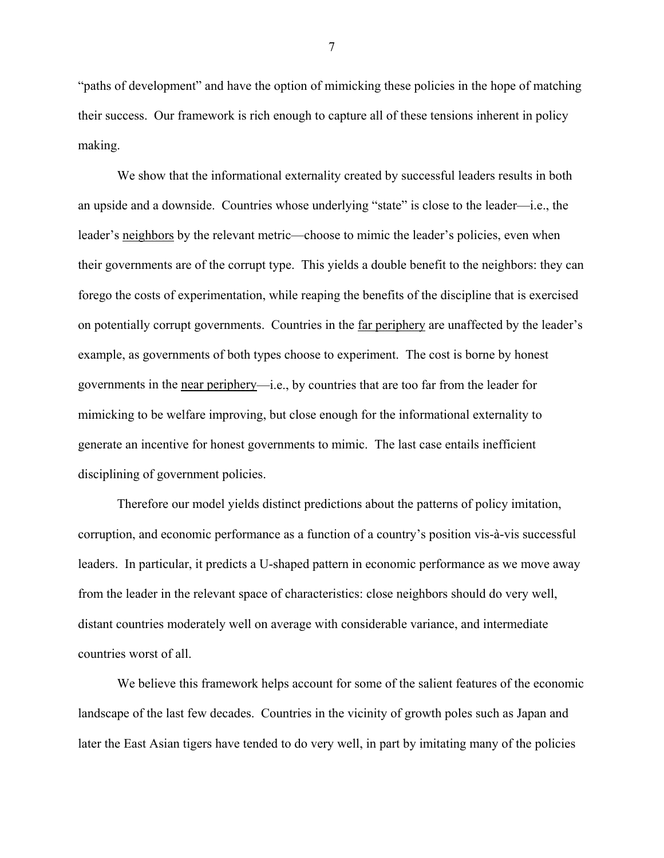"paths of development" and have the option of mimicking these policies in the hope of matching their success. Our framework is rich enough to capture all of these tensions inherent in policy making.

We show that the informational externality created by successful leaders results in both an upside and a downside. Countries whose underlying "state" is close to the leader—i.e., the leader's neighbors by the relevant metric—choose to mimic the leader's policies, even when their governments are of the corrupt type. This yields a double benefit to the neighbors: they can forego the costs of experimentation, while reaping the benefits of the discipline that is exercised on potentially corrupt governments. Countries in the far periphery are unaffected by the leader's example, as governments of both types choose to experiment. The cost is borne by honest governments in the near periphery—i.e., by countries that are too far from the leader for mimicking to be welfare improving, but close enough for the informational externality to generate an incentive for honest governments to mimic. The last case entails inefficient disciplining of government policies.

Therefore our model yields distinct predictions about the patterns of policy imitation, corruption, and economic performance as a function of a country's position vis-à-vis successful leaders. In particular, it predicts a U-shaped pattern in economic performance as we move away from the leader in the relevant space of characteristics: close neighbors should do very well, distant countries moderately well on average with considerable variance, and intermediate countries worst of all.

We believe this framework helps account for some of the salient features of the economic landscape of the last few decades. Countries in the vicinity of growth poles such as Japan and later the East Asian tigers have tended to do very well, in part by imitating many of the policies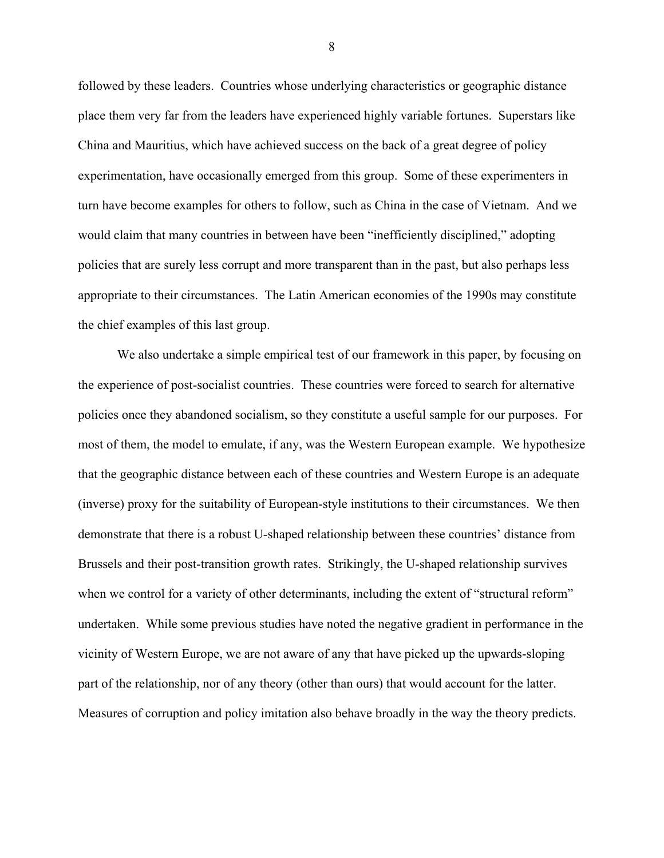followed by these leaders. Countries whose underlying characteristics or geographic distance place them very far from the leaders have experienced highly variable fortunes. Superstars like China and Mauritius, which have achieved success on the back of a great degree of policy experimentation, have occasionally emerged from this group. Some of these experimenters in turn have become examples for others to follow, such as China in the case of Vietnam. And we would claim that many countries in between have been "inefficiently disciplined," adopting policies that are surely less corrupt and more transparent than in the past, but also perhaps less appropriate to their circumstances. The Latin American economies of the 1990s may constitute the chief examples of this last group.

We also undertake a simple empirical test of our framework in this paper, by focusing on the experience of post-socialist countries. These countries were forced to search for alternative policies once they abandoned socialism, so they constitute a useful sample for our purposes. For most of them, the model to emulate, if any, was the Western European example. We hypothesize that the geographic distance between each of these countries and Western Europe is an adequate (inverse) proxy for the suitability of European-style institutions to their circumstances. We then demonstrate that there is a robust U-shaped relationship between these countries' distance from Brussels and their post-transition growth rates. Strikingly, the U-shaped relationship survives when we control for a variety of other determinants, including the extent of "structural reform" undertaken. While some previous studies have noted the negative gradient in performance in the vicinity of Western Europe, we are not aware of any that have picked up the upwards-sloping part of the relationship, nor of any theory (other than ours) that would account for the latter. Measures of corruption and policy imitation also behave broadly in the way the theory predicts.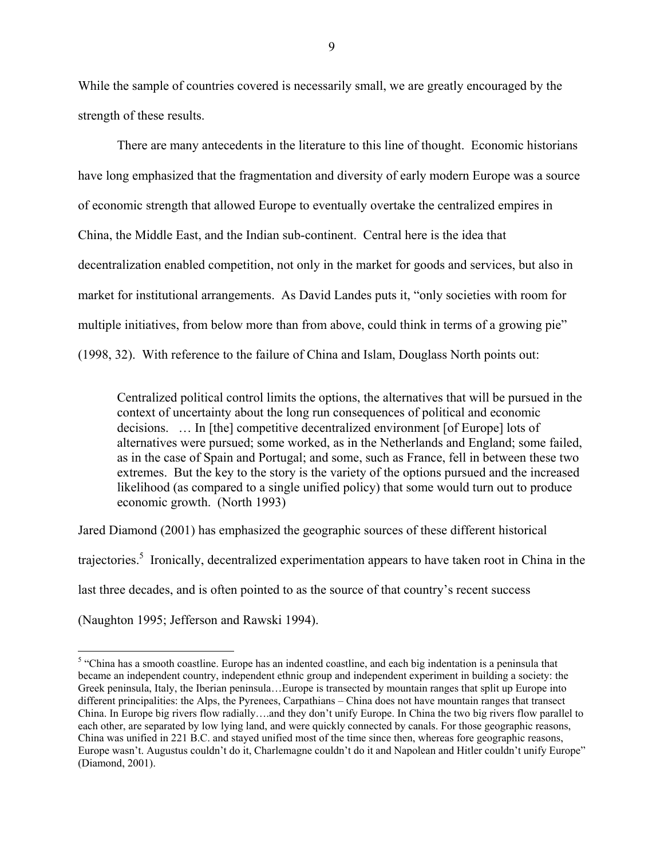While the sample of countries covered is necessarily small, we are greatly encouraged by the strength of these results.

There are many antecedents in the literature to this line of thought. Economic historians have long emphasized that the fragmentation and diversity of early modern Europe was a source of economic strength that allowed Europe to eventually overtake the centralized empires in China, the Middle East, and the Indian sub-continent. Central here is the idea that decentralization enabled competition, not only in the market for goods and services, but also in market for institutional arrangements. As David Landes puts it, "only societies with room for multiple initiatives, from below more than from above, could think in terms of a growing pie" (1998, 32). With reference to the failure of China and Islam, Douglass North points out:

Centralized political control limits the options, the alternatives that will be pursued in the context of uncertainty about the long run consequences of political and economic decisions. … In [the] competitive decentralized environment [of Europe] lots of alternatives were pursued; some worked, as in the Netherlands and England; some failed, as in the case of Spain and Portugal; and some, such as France, fell in between these two extremes. But the key to the story is the variety of the options pursued and the increased likelihood (as compared to a single unified policy) that some would turn out to produce economic growth. (North 1993)

Jared Diamond (2001) has emphasized the geographic sources of these different historical trajectories.<sup>5</sup> Ironically, decentralized experimentation appears to have taken root in China in the last three decades, and is often pointed to as the source of that country's recent success (Naughton 1995; Jefferson and Rawski 1994).

<sup>&</sup>lt;sup>5</sup> "China has a smooth coastline. Europe has an indented coastline, and each big indentation is a peninsula that became an independent country, independent ethnic group and independent experiment in building a society: the Greek peninsula, Italy, the Iberian peninsula…Europe is transected by mountain ranges that split up Europe into different principalities: the Alps, the Pyrenees, Carpathians – China does not have mountain ranges that transect China. In Europe big rivers flow radially….and they don't unify Europe. In China the two big rivers flow parallel to each other, are separated by low lying land, and were quickly connected by canals. For those geographic reasons, China was unified in 221 B.C. and stayed unified most of the time since then, whereas fore geographic reasons, Europe wasn't. Augustus couldn't do it, Charlemagne couldn't do it and Napolean and Hitler couldn't unify Europe" (Diamond, 2001).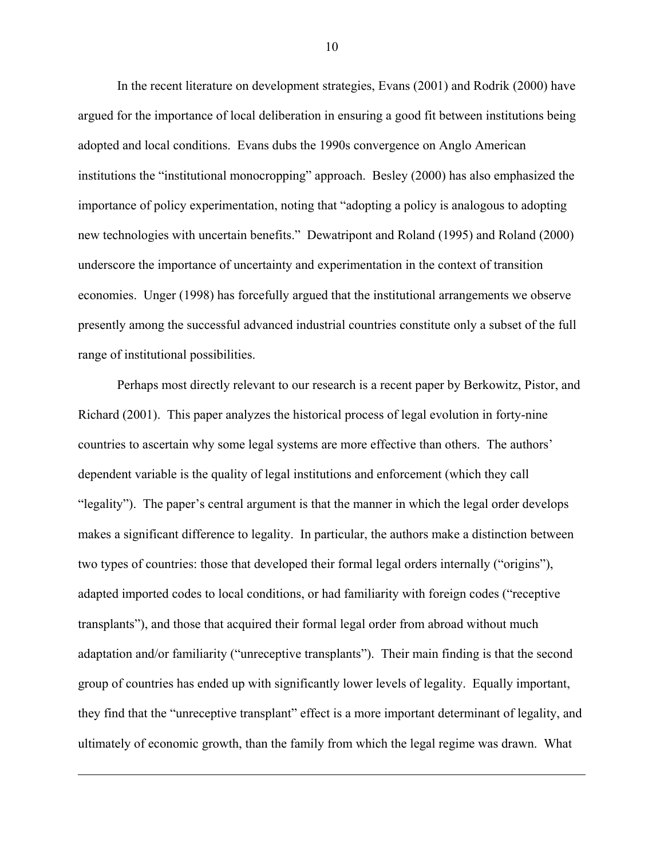In the recent literature on development strategies, Evans (2001) and Rodrik (2000) have argued for the importance of local deliberation in ensuring a good fit between institutions being adopted and local conditions. Evans dubs the 1990s convergence on Anglo American institutions the "institutional monocropping" approach. Besley (2000) has also emphasized the importance of policy experimentation, noting that "adopting a policy is analogous to adopting new technologies with uncertain benefits." Dewatripont and Roland (1995) and Roland (2000) underscore the importance of uncertainty and experimentation in the context of transition economies. Unger (1998) has forcefully argued that the institutional arrangements we observe presently among the successful advanced industrial countries constitute only a subset of the full range of institutional possibilities.

Perhaps most directly relevant to our research is a recent paper by Berkowitz, Pistor, and Richard (2001). This paper analyzes the historical process of legal evolution in forty-nine countries to ascertain why some legal systems are more effective than others. The authors' dependent variable is the quality of legal institutions and enforcement (which they call "legality"). The paper's central argument is that the manner in which the legal order develops makes a significant difference to legality. In particular, the authors make a distinction between two types of countries: those that developed their formal legal orders internally ("origins"), adapted imported codes to local conditions, or had familiarity with foreign codes ("receptive transplants"), and those that acquired their formal legal order from abroad without much adaptation and/or familiarity ("unreceptive transplants"). Their main finding is that the second group of countries has ended up with significantly lower levels of legality. Equally important, they find that the "unreceptive transplant" effect is a more important determinant of legality, and ultimately of economic growth, than the family from which the legal regime was drawn. What

 $\overline{a}$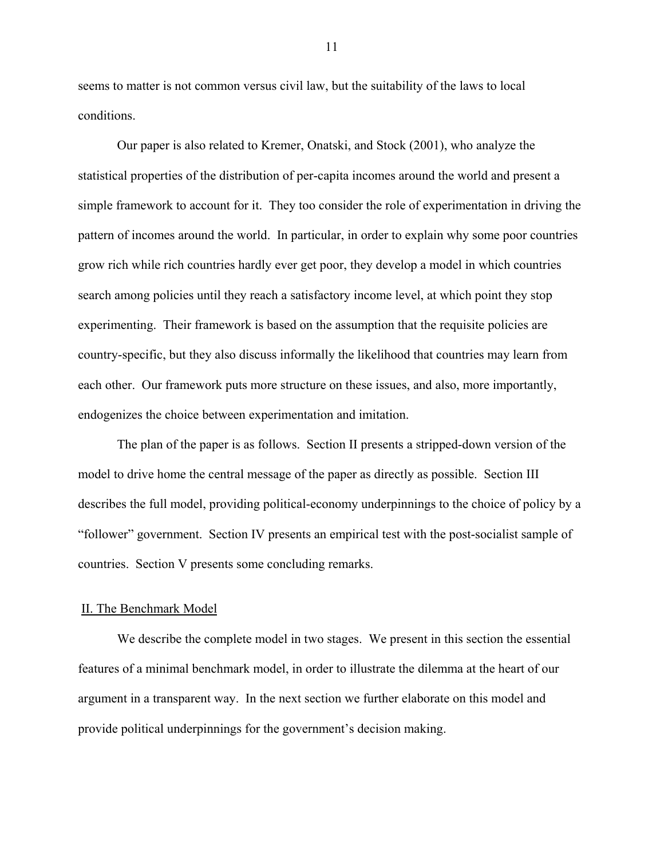seems to matter is not common versus civil law, but the suitability of the laws to local conditions.

Our paper is also related to Kremer, Onatski, and Stock (2001), who analyze the statistical properties of the distribution of per-capita incomes around the world and present a simple framework to account for it. They too consider the role of experimentation in driving the pattern of incomes around the world. In particular, in order to explain why some poor countries grow rich while rich countries hardly ever get poor, they develop a model in which countries search among policies until they reach a satisfactory income level, at which point they stop experimenting. Their framework is based on the assumption that the requisite policies are country-specific, but they also discuss informally the likelihood that countries may learn from each other. Our framework puts more structure on these issues, and also, more importantly, endogenizes the choice between experimentation and imitation.

 The plan of the paper is as follows. Section II presents a stripped-down version of the model to drive home the central message of the paper as directly as possible. Section III describes the full model, providing political-economy underpinnings to the choice of policy by a "follower" government. Section IV presents an empirical test with the post-socialist sample of countries. Section V presents some concluding remarks.

#### II. The Benchmark Model

We describe the complete model in two stages. We present in this section the essential features of a minimal benchmark model, in order to illustrate the dilemma at the heart of our argument in a transparent way. In the next section we further elaborate on this model and provide political underpinnings for the government's decision making.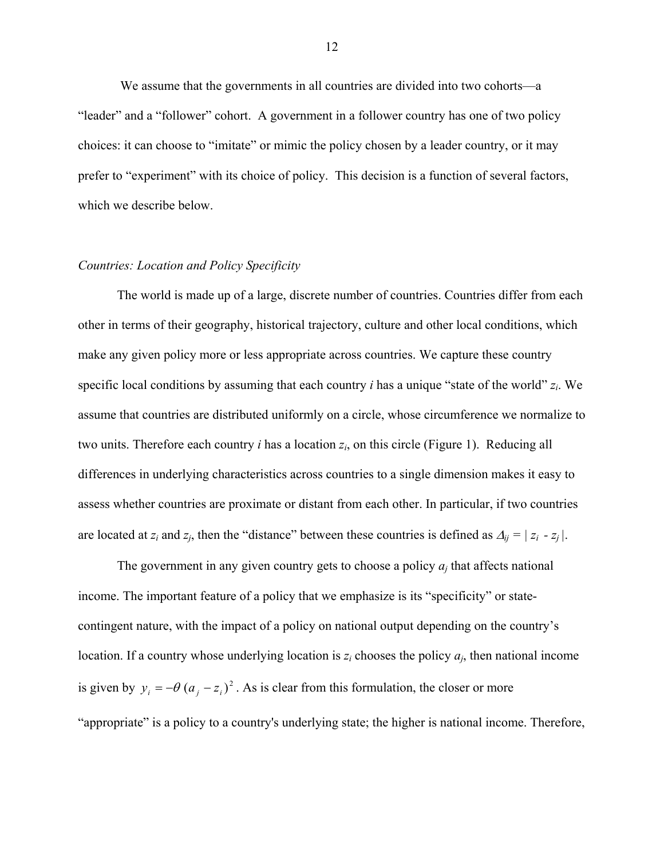We assume that the governments in all countries are divided into two cohorts—a "leader" and a "follower" cohort. A government in a follower country has one of two policy choices: it can choose to "imitate" or mimic the policy chosen by a leader country, or it may prefer to "experiment" with its choice of policy. This decision is a function of several factors, which we describe below.

## *Countries: Location and Policy Specificity*

The world is made up of a large, discrete number of countries. Countries differ from each other in terms of their geography, historical trajectory, culture and other local conditions, which make any given policy more or less appropriate across countries. We capture these country specific local conditions by assuming that each country *i* has a unique "state of the world" *zi*. We assume that countries are distributed uniformly on a circle, whose circumference we normalize to two units. Therefore each country *i* has a location *zi*, on this circle (Figure 1). Reducing all differences in underlying characteristics across countries to a single dimension makes it easy to assess whether countries are proximate or distant from each other. In particular, if two countries are located at  $z_i$  and  $z_j$ , then the "distance" between these countries is defined as  $\Delta_{ij} = |z_i - z_j|$ .

The government in any given country gets to choose a policy  $a_j$  that affects national income. The important feature of a policy that we emphasize is its "specificity" or statecontingent nature, with the impact of a policy on national output depending on the country's location. If a country whose underlying location is *zi* chooses the policy *aj*, then national income is given by  $y_i = -\theta (a_j - z_i)^2$ . As is clear from this formulation, the closer or more "appropriate" is a policy to a country's underlying state; the higher is national income. Therefore,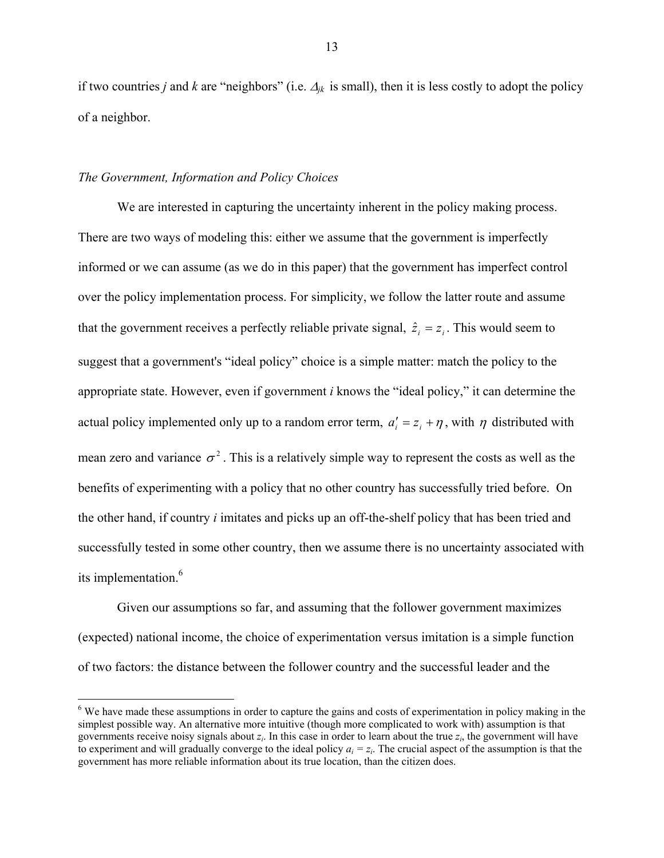if two countries *j* and *k* are "neighbors" (i.e.  $\Delta_{jk}$  is small), then it is less costly to adopt the policy of a neighbor.

## *The Government, Information and Policy Choices*

 $\overline{a}$ 

We are interested in capturing the uncertainty inherent in the policy making process. There are two ways of modeling this: either we assume that the government is imperfectly informed or we can assume (as we do in this paper) that the government has imperfect control over the policy implementation process. For simplicity, we follow the latter route and assume that the government receives a perfectly reliable private signal,  $\hat{z}_i = z_i$ . This would seem to suggest that a government's "ideal policy" choice is a simple matter: match the policy to the appropriate state. However, even if government *i* knows the "ideal policy," it can determine the actual policy implemented only up to a random error term,  $a'_i = z_i + \eta$ , with  $\eta$  distributed with mean zero and variance  $\sigma^2$ . This is a relatively simple way to represent the costs as well as the benefits of experimenting with a policy that no other country has successfully tried before. On the other hand, if country *i* imitates and picks up an off-the-shelf policy that has been tried and successfully tested in some other country, then we assume there is no uncertainty associated with its implementation.<sup>6</sup>

Given our assumptions so far, and assuming that the follower government maximizes (expected) national income, the choice of experimentation versus imitation is a simple function of two factors: the distance between the follower country and the successful leader and the

<sup>&</sup>lt;sup>6</sup> We have made these assumptions in order to capture the gains and costs of experimentation in policy making in the simplest possible way. An alternative more intuitive (though more complicated to work with) assumption is that governments receive noisy signals about *zi*. In this case in order to learn about the true *zi*, the government will have to experiment and will gradually converge to the ideal policy  $a_i = z_i$ . The crucial aspect of the assumption is that the government has more reliable information about its true location, than the citizen does.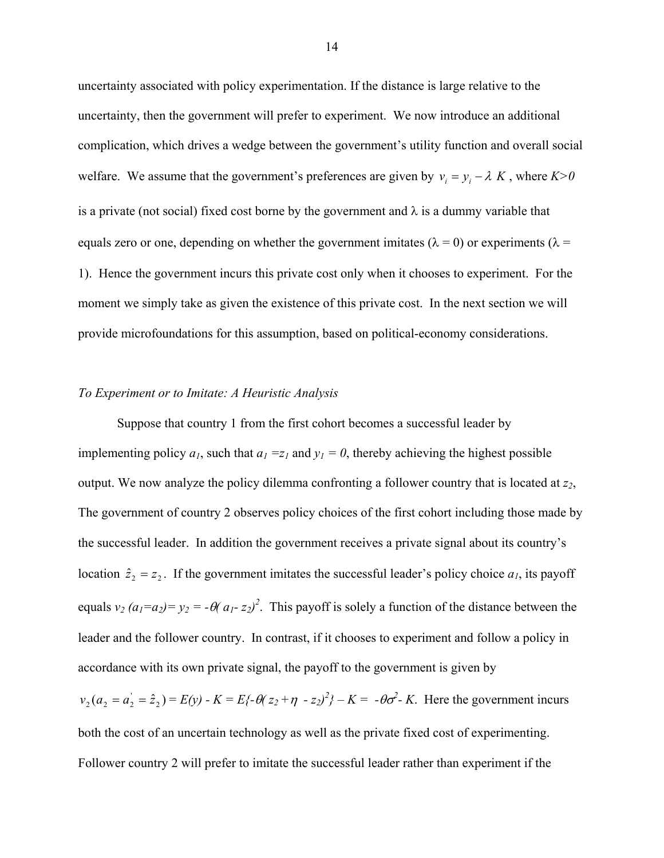uncertainty associated with policy experimentation. If the distance is large relative to the uncertainty, then the government will prefer to experiment. We now introduce an additional complication, which drives a wedge between the government's utility function and overall social welfare. We assume that the government's preferences are given by  $v_i = y_i - \lambda K$ , where  $K > 0$ is a private (not social) fixed cost borne by the government and  $\lambda$  is a dummy variable that equals zero or one, depending on whether the government imitates ( $\lambda = 0$ ) or experiments ( $\lambda =$ 1). Hence the government incurs this private cost only when it chooses to experiment. For the moment we simply take as given the existence of this private cost. In the next section we will provide microfoundations for this assumption, based on political-economy considerations.

## *To Experiment or to Imitate: A Heuristic Analysis*

Suppose that country 1 from the first cohort becomes a successful leader by implementing policy  $a_1$ , such that  $a_1 = z_1$  and  $y_1 = 0$ , thereby achieving the highest possible output. We now analyze the policy dilemma confronting a follower country that is located at  $z_2$ , The government of country 2 observes policy choices of the first cohort including those made by the successful leader. In addition the government receives a private signal about its country's location  $\hat{z}_2 = z_2$ . If the government imitates the successful leader's policy choice  $a_1$ , its payoff equals  $v_2$  ( $a_1=a_2$ ) =  $y_2 = -\theta$ ( $a_1-a_2$ )<sup>2</sup>. This payoff is solely a function of the distance between the leader and the follower country. In contrast, if it chooses to experiment and follow a policy in accordance with its own private signal, the payoff to the government is given by  $v_2(a_2 = a_2 = \hat{z}_2) = E(y) - K = E\{-\theta(z_2 + \eta - z_2)^2\} - K = -\theta\sigma^2 - K$ . Here the government incurs

Follower country 2 will prefer to imitate the successful leader rather than experiment if the

both the cost of an uncertain technology as well as the private fixed cost of experimenting.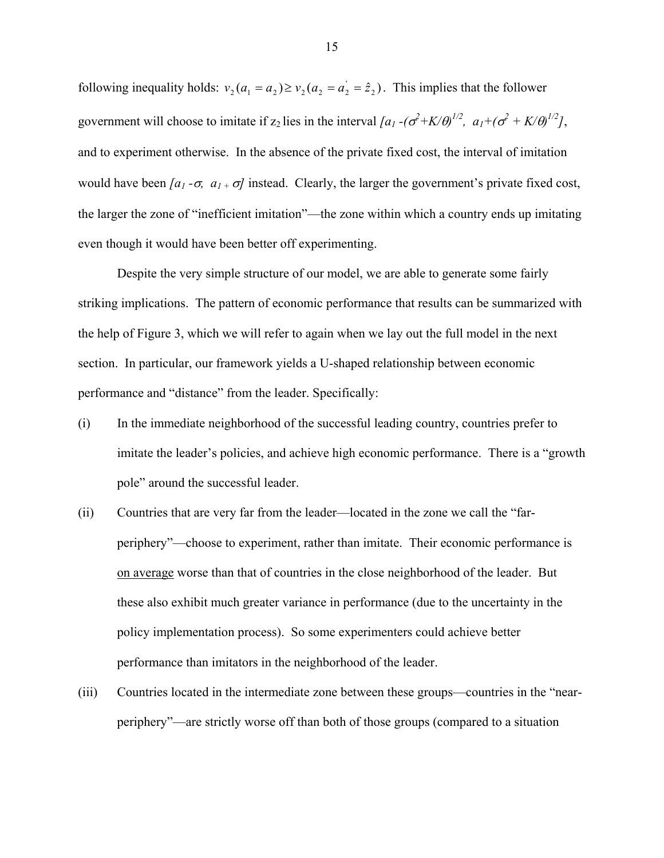following inequality holds:  $v_2(a_1 = a_2) \ge v_2(a_2 = a_2 = a_2)$ . This implies that the follower government will choose to imitate if  $z_2$  lies in the interval  $[a_1 - (\sigma^2 + K/\theta)^{1/2}, a_1 + (\sigma^2 + K/\theta)^{1/2}]$ , and to experiment otherwise. In the absence of the private fixed cost, the interval of imitation would have been  $[a_1 - \sigma, a_{1+} - \sigma]$  instead. Clearly, the larger the government's private fixed cost, the larger the zone of "inefficient imitation"—the zone within which a country ends up imitating even though it would have been better off experimenting.

Despite the very simple structure of our model, we are able to generate some fairly striking implications. The pattern of economic performance that results can be summarized with the help of Figure 3, which we will refer to again when we lay out the full model in the next section. In particular, our framework yields a U-shaped relationship between economic performance and "distance" from the leader. Specifically:

- (i) In the immediate neighborhood of the successful leading country, countries prefer to imitate the leader's policies, and achieve high economic performance. There is a "growth pole" around the successful leader.
- (ii) Countries that are very far from the leader—located in the zone we call the "farperiphery"—choose to experiment, rather than imitate. Their economic performance is on average worse than that of countries in the close neighborhood of the leader. But these also exhibit much greater variance in performance (due to the uncertainty in the policy implementation process). So some experimenters could achieve better performance than imitators in the neighborhood of the leader.
- (iii) Countries located in the intermediate zone between these groups—countries in the "nearperiphery"—are strictly worse off than both of those groups (compared to a situation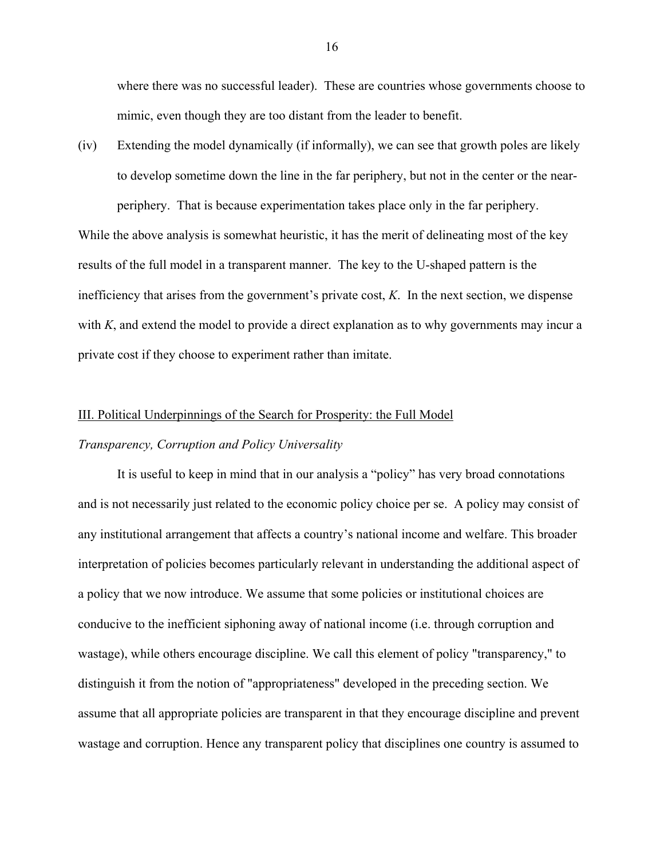where there was no successful leader). These are countries whose governments choose to mimic, even though they are too distant from the leader to benefit.

(iv) Extending the model dynamically (if informally), we can see that growth poles are likely to develop sometime down the line in the far periphery, but not in the center or the nearperiphery. That is because experimentation takes place only in the far periphery.

While the above analysis is somewhat heuristic, it has the merit of delineating most of the key results of the full model in a transparent manner. The key to the U-shaped pattern is the inefficiency that arises from the government's private cost, *K*. In the next section, we dispense with *K*, and extend the model to provide a direct explanation as to why governments may incur a private cost if they choose to experiment rather than imitate.

#### III. Political Underpinnings of the Search for Prosperity: the Full Model

## *Transparency, Corruption and Policy Universality*

It is useful to keep in mind that in our analysis a "policy" has very broad connotations and is not necessarily just related to the economic policy choice per se. A policy may consist of any institutional arrangement that affects a country's national income and welfare. This broader interpretation of policies becomes particularly relevant in understanding the additional aspect of a policy that we now introduce. We assume that some policies or institutional choices are conducive to the inefficient siphoning away of national income (i.e. through corruption and wastage), while others encourage discipline. We call this element of policy "transparency," to distinguish it from the notion of "appropriateness" developed in the preceding section. We assume that all appropriate policies are transparent in that they encourage discipline and prevent wastage and corruption. Hence any transparent policy that disciplines one country is assumed to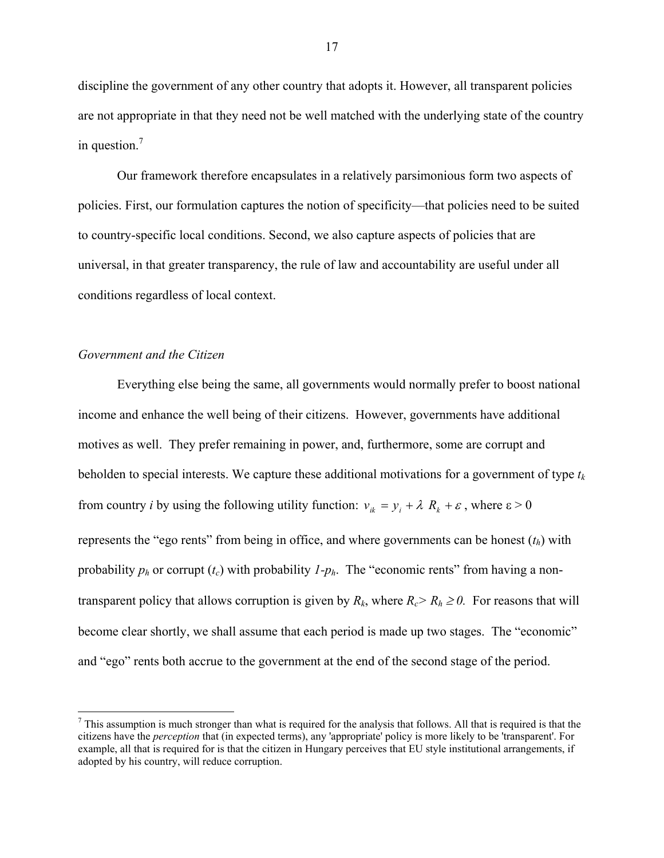discipline the government of any other country that adopts it. However, all transparent policies are not appropriate in that they need not be well matched with the underlying state of the country in question. $<sup>7</sup>$ </sup>

Our framework therefore encapsulates in a relatively parsimonious form two aspects of policies. First, our formulation captures the notion of specificity—that policies need to be suited to country-specific local conditions. Second, we also capture aspects of policies that are universal, in that greater transparency, the rule of law and accountability are useful under all conditions regardless of local context.

## *Government and the Citizen*

 $\overline{a}$ 

Everything else being the same, all governments would normally prefer to boost national income and enhance the well being of their citizens. However, governments have additional motives as well. They prefer remaining in power, and, furthermore, some are corrupt and beholden to special interests. We capture these additional motivations for a government of type  $t_k$ from country *i* by using the following utility function:  $v_{ik} = y_i + \lambda R_k + \varepsilon$ , where  $\varepsilon > 0$ represents the "ego rents" from being in office, and where governments can be honest  $(t_h)$  with probability  $p_h$  or corrupt  $(t_c)$  with probability  $1-p_h$ . The "economic rents" from having a nontransparent policy that allows corruption is given by  $R_k$ , where  $R_c > R_h \ge 0$ . For reasons that will become clear shortly, we shall assume that each period is made up two stages. The "economic" and "ego" rents both accrue to the government at the end of the second stage of the period.

 $<sup>7</sup>$  This assumption is much stronger than what is required for the analysis that follows. All that is required is that the</sup> citizens have the *perception* that (in expected terms), any 'appropriate' policy is more likely to be 'transparent'. For example, all that is required for is that the citizen in Hungary perceives that EU style institutional arrangements, if adopted by his country, will reduce corruption.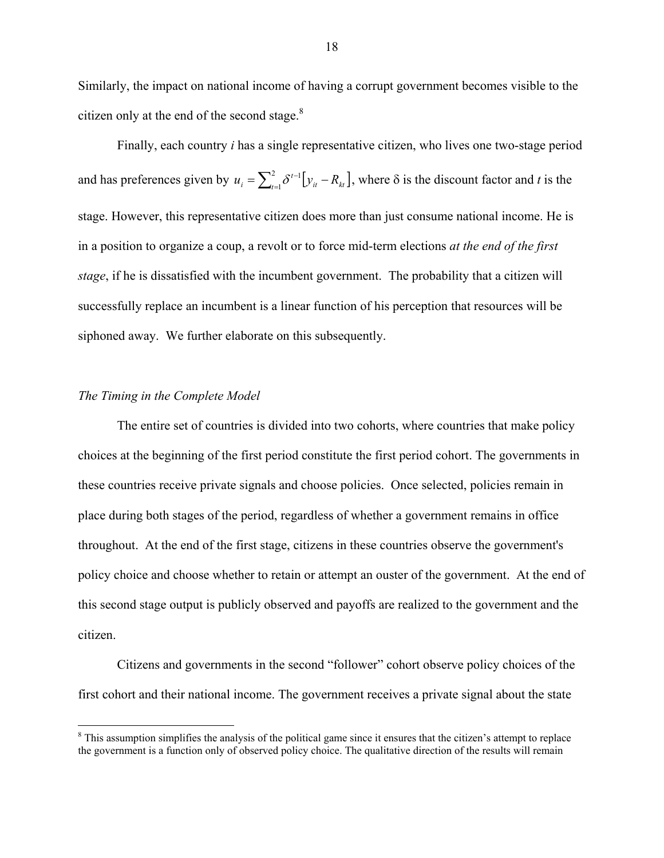Similarly, the impact on national income of having a corrupt government becomes visible to the citizen only at the end of the second stage. $8$ 

Finally, each country *i* has a single representative citizen, who lives one two-stage period and has preferences given by  $u_i = \sum_{t=1}^{2} \delta^{t-1} [y_{it} - R_{kt}]$ 1  $u_i = \sum_{t=1}^{2} \delta^{t-1} [y_{it} - R_{kt}]$ , where  $\delta$  is the discount factor and *t* is the stage. However, this representative citizen does more than just consume national income. He is in a position to organize a coup, a revolt or to force mid-term elections *at the end of the first stage*, if he is dissatisfied with the incumbent government. The probability that a citizen will successfully replace an incumbent is a linear function of his perception that resources will be siphoned away. We further elaborate on this subsequently.

## *The Timing in the Complete Model*

<u>.</u>

The entire set of countries is divided into two cohorts, where countries that make policy choices at the beginning of the first period constitute the first period cohort. The governments in these countries receive private signals and choose policies. Once selected, policies remain in place during both stages of the period, regardless of whether a government remains in office throughout. At the end of the first stage, citizens in these countries observe the government's policy choice and choose whether to retain or attempt an ouster of the government. At the end of this second stage output is publicly observed and payoffs are realized to the government and the citizen.

Citizens and governments in the second "follower" cohort observe policy choices of the first cohort and their national income. The government receives a private signal about the state

 $8$  This assumption simplifies the analysis of the political game since it ensures that the citizen's attempt to replace the government is a function only of observed policy choice. The qualitative direction of the results will remain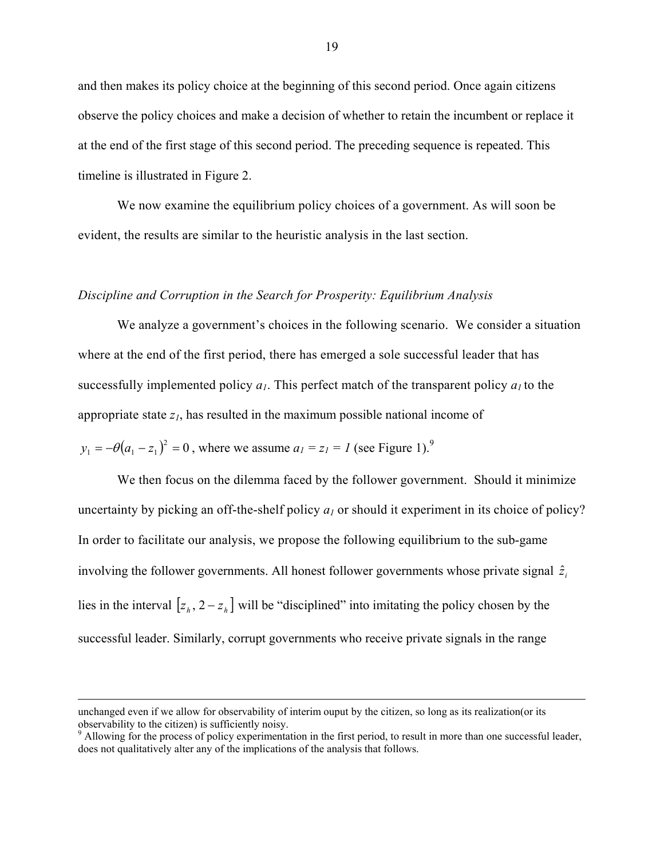and then makes its policy choice at the beginning of this second period. Once again citizens observe the policy choices and make a decision of whether to retain the incumbent or replace it at the end of the first stage of this second period. The preceding sequence is repeated. This timeline is illustrated in Figure 2.

We now examine the equilibrium policy choices of a government. As will soon be evident, the results are similar to the heuristic analysis in the last section.

## *Discipline and Corruption in the Search for Prosperity: Equilibrium Analysis*

We analyze a government's choices in the following scenario. We consider a situation where at the end of the first period, there has emerged a sole successful leader that has successfully implemented policy  $a_1$ . This perfect match of the transparent policy  $a_1$  to the appropriate state *z1*, has resulted in the maximum possible national income of

 $y_1 = -\theta (a_1 - z_1)^2 = 0$ , where we assume  $a_1 = z_1 = 1$  (see Figure 1).<sup>9</sup>

We then focus on the dilemma faced by the follower government. Should it minimize uncertainty by picking an off-the-shelf policy  $a<sub>l</sub>$  or should it experiment in its choice of policy? In order to facilitate our analysis, we propose the following equilibrium to the sub-game involving the follower governments. All honest follower governments whose private signal  $\hat{z}_i$ lies in the interval  $[z_h, 2 - z_h]$  will be "disciplined" into imitating the policy chosen by the successful leader. Similarly, corrupt governments who receive private signals in the range

unchanged even if we allow for observability of interim ouput by the citizen, so long as its realization(or its observability to the citizen) is sufficiently noisy.

<sup>&</sup>lt;sup>9</sup> Allowing for the process of policy experimentation in the first period, to result in more than one successful leader, does not qualitatively alter any of the implications of the analysis that follows.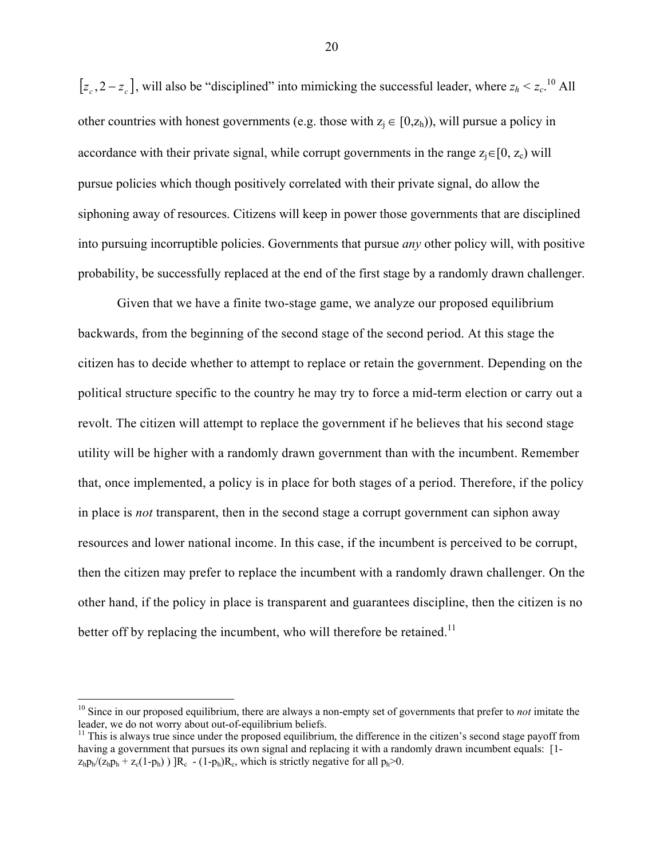$[z_c, 2 - z_c]$ , will also be "disciplined" into mimicking the successful leader, where  $z_h < z_c$ .<sup>10</sup> All other countries with honest governments (e.g. those with  $z_i \in [0, z_h)$ ), will pursue a policy in accordance with their private signal, while corrupt governments in the range  $z_i \in [0, z_c)$  will pursue policies which though positively correlated with their private signal, do allow the siphoning away of resources. Citizens will keep in power those governments that are disciplined into pursuing incorruptible policies. Governments that pursue *any* other policy will, with positive probability, be successfully replaced at the end of the first stage by a randomly drawn challenger.

Given that we have a finite two-stage game, we analyze our proposed equilibrium backwards, from the beginning of the second stage of the second period. At this stage the citizen has to decide whether to attempt to replace or retain the government. Depending on the political structure specific to the country he may try to force a mid-term election or carry out a revolt. The citizen will attempt to replace the government if he believes that his second stage utility will be higher with a randomly drawn government than with the incumbent. Remember that, once implemented, a policy is in place for both stages of a period. Therefore, if the policy in place is *not* transparent, then in the second stage a corrupt government can siphon away resources and lower national income. In this case, if the incumbent is perceived to be corrupt, then the citizen may prefer to replace the incumbent with a randomly drawn challenger. On the other hand, if the policy in place is transparent and guarantees discipline, then the citizen is no better off by replacing the incumbent, who will therefore be retained.<sup>11</sup>

<sup>&</sup>lt;sup>10</sup> Since in our proposed equilibrium, there are always a non-empty set of governments that prefer to *not* imitate the leader, we do not worry about out-of-equilibrium beliefs.<br><sup>11</sup> This is always true since under the proposed equilibrium, the difference in the citizen's second stage payoff from

having a government that pursues its own signal and replacing it with a randomly drawn incumbent equals: [1-1]  $z<sub>h</sub>p<sub>h</sub>/(z<sub>h</sub>p<sub>h</sub> + z<sub>c</sub>(1-p<sub>h</sub>)$  ]R<sub>c</sub> - (1-p<sub>h</sub>)R<sub>c</sub>, which is strictly negative for all p<sub>h</sub> > 0.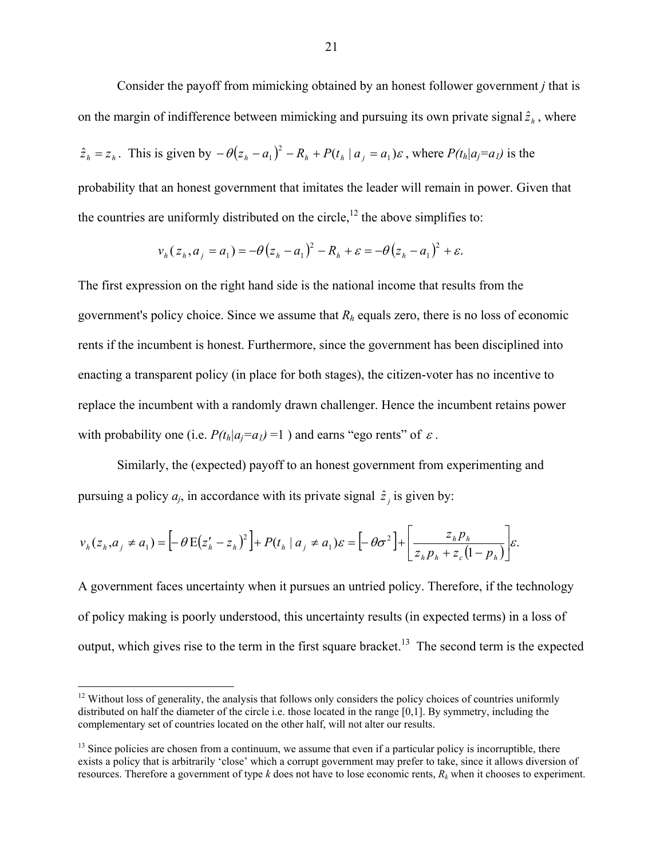Consider the payoff from mimicking obtained by an honest follower government *j* that is on the margin of indifference between mimicking and pursuing its own private signal  $\hat{z}_h$ , where

$$
\hat{z}_h = z_h
$$
. This is given by  $-\theta(z_h - a_1)^2 - R_h + P(t_h | a_j = a_1)\varepsilon$ , where  $P(t_h | a_j = a_l)$  is the probability that an honest government that imitates the leader will remain in power. Given that the countries are uniformly distributed on the circle.<sup>12</sup> the above simplifies to:

$$
v_h(z_h, a_j = a_1) = -\theta (z_h - a_1)^2 - R_h + \varepsilon = -\theta (z_h - a_1)^2 + \varepsilon.
$$

The first expression on the right hand side is the national income that results from the government's policy choice. Since we assume that  $R_h$  equals zero, there is no loss of economic rents if the incumbent is honest. Furthermore, since the government has been disciplined into enacting a transparent policy (in place for both stages), the citizen-voter has no incentive to replace the incumbent with a randomly drawn challenger. Hence the incumbent retains power with probability one (i.e.  $P(t_h|a_i=a_l)=1$ ) and earns "ego rents" of  $\varepsilon$ .

Similarly, the (expected) payoff to an honest government from experimenting and pursuing a policy  $a_j$ , in accordance with its private signal  $\hat{z}_j$  is given by:

$$
v_h(z_h, a_j \neq a_1) = \left[ -\theta E(z_h' - z_h)^2 \right] + P(t_h \mid a_j \neq a_1) \varepsilon = \left[ -\theta \sigma^2 \right] + \left[ \frac{z_h p_h}{z_h p_h + z_c (1 - p_h)} \right] \varepsilon.
$$

A government faces uncertainty when it pursues an untried policy. Therefore, if the technology of policy making is poorly understood, this uncertainty results (in expected terms) in a loss of output, which gives rise to the term in the first square bracket.<sup>13</sup> The second term is the expected

 $12$  Without loss of generality, the analysis that follows only considers the policy choices of countries uniformly distributed on half the diameter of the circle i.e. those located in the range [0,1]. By symmetry, including the complementary set of countries located on the other half, will not alter our results.

 $<sup>13</sup>$  Since policies are chosen from a continuum, we assume that even if a particular policy is incorruptible, there</sup> exists a policy that is arbitrarily 'close' which a corrupt government may prefer to take, since it allows diversion of resources. Therefore a government of type  $k$  does not have to lose economic rents,  $R_k$  when it chooses to experiment.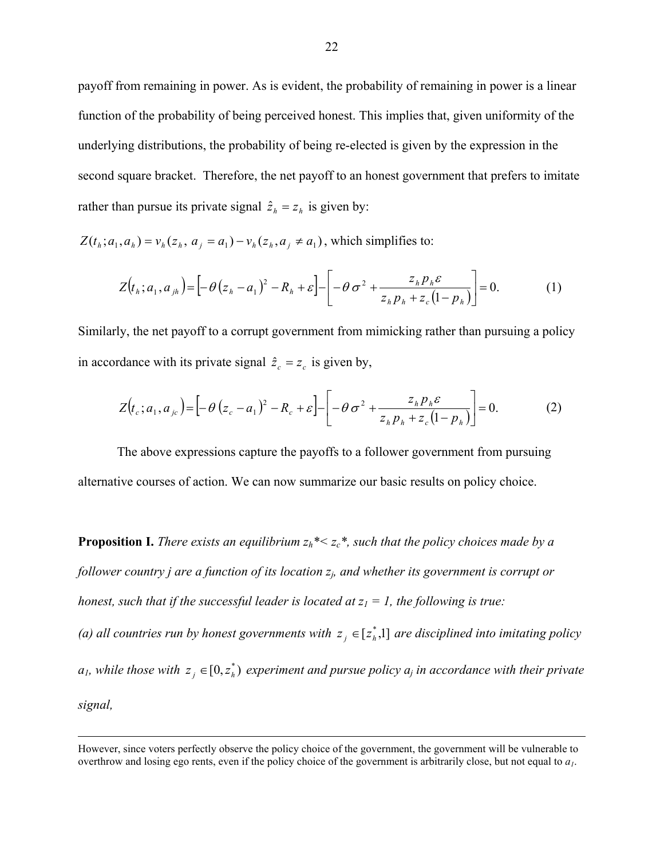payoff from remaining in power. As is evident, the probability of remaining in power is a linear function of the probability of being perceived honest. This implies that, given uniformity of the underlying distributions, the probability of being re-elected is given by the expression in the second square bracket. Therefore, the net payoff to an honest government that prefers to imitate rather than pursue its private signal  $\hat{z}_h = z_h$  is given by:

 $Z(t_h; a_1, a_h) = v_h(z_h, a_i = a_1) - v_h(z_h, a_i \neq a_1)$ , which simplifies to:

$$
Z(t_h; a_1, a_{jh}) = \left[ -\theta \left( z_h - a_1 \right)^2 - R_h + \varepsilon \right] - \left[ -\theta \sigma^2 + \frac{z_h p_h \varepsilon}{z_h p_h + z_c (1 - p_h)} \right] = 0. \tag{1}
$$

Similarly, the net payoff to a corrupt government from mimicking rather than pursuing a policy in accordance with its private signal  $\hat{z}_c = z_c$  is given by,

$$
Z(t_c; a_1, a_{jc}) = \left[ -\theta \left( z_c - a_1 \right)^2 - R_c + \varepsilon \right] - \left[ -\theta \sigma^2 + \frac{z_h p_h \varepsilon}{z_h p_h + z_c (1 - p_h)} \right] = 0. \tag{2}
$$

The above expressions capture the payoffs to a follower government from pursuing alternative courses of action. We can now summarize our basic results on policy choice.

**Proposition I.** *There exists an equilibrium*  $z_h^* < z_c^*$ , such that the policy choices made by a *follower country j are a function of its location zj, and whether its government is corrupt or honest, such that if the successful leader is located at*  $z_1 = 1$ *, the following is true:* (a) all countries run by honest governments with  $z_j \in [z_h^*]$  are disciplined into imitating policy  $a_l$ , while those with  $z_j \in [0, z_h^*)$  experiment and pursue policy  $a_j$  in accordance with their private *signal,* 

However, since voters perfectly observe the policy choice of the government, the government will be vulnerable to overthrow and losing ego rents, even if the policy choice of the government is arbitrarily close, but not equal to *a1*.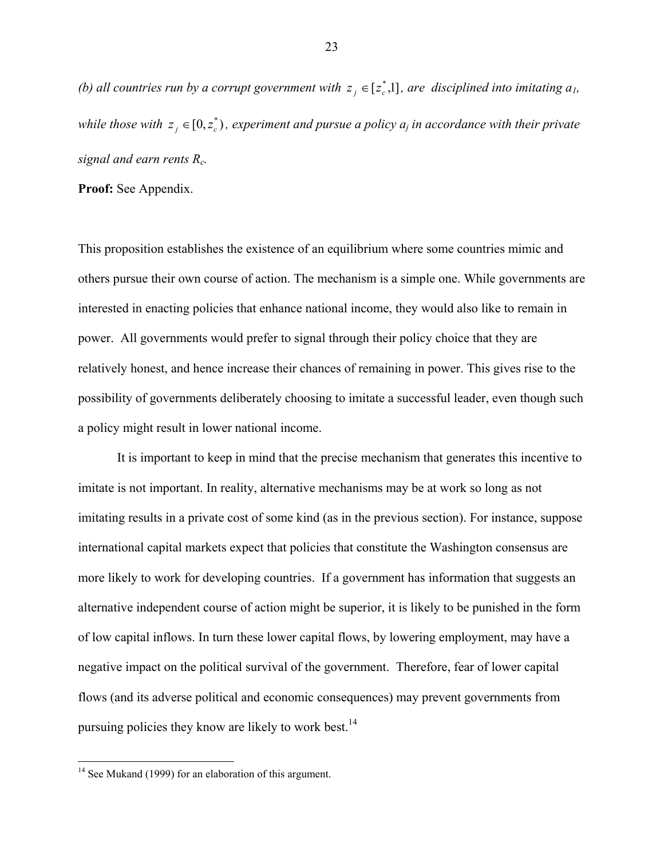*(b) all countries run by a corrupt government with*  $z_j \in [z_c^*]$ , are disciplined into imitating  $a_l$ , *while those with*  $z_j \in [0, z_c^*)$ , experiment and pursue a policy  $a_j$  in accordance with their private *signal and earn rents Rc.*

**Proof:** See Appendix.

This proposition establishes the existence of an equilibrium where some countries mimic and others pursue their own course of action. The mechanism is a simple one. While governments are interested in enacting policies that enhance national income, they would also like to remain in power. All governments would prefer to signal through their policy choice that they are relatively honest, and hence increase their chances of remaining in power. This gives rise to the possibility of governments deliberately choosing to imitate a successful leader, even though such a policy might result in lower national income.

 It is important to keep in mind that the precise mechanism that generates this incentive to imitate is not important. In reality, alternative mechanisms may be at work so long as not imitating results in a private cost of some kind (as in the previous section). For instance, suppose international capital markets expect that policies that constitute the Washington consensus are more likely to work for developing countries. If a government has information that suggests an alternative independent course of action might be superior, it is likely to be punished in the form of low capital inflows. In turn these lower capital flows, by lowering employment, may have a negative impact on the political survival of the government. Therefore, fear of lower capital flows (and its adverse political and economic consequences) may prevent governments from pursuing policies they know are likely to work best.<sup>14</sup>

 $14$  See Mukand (1999) for an elaboration of this argument.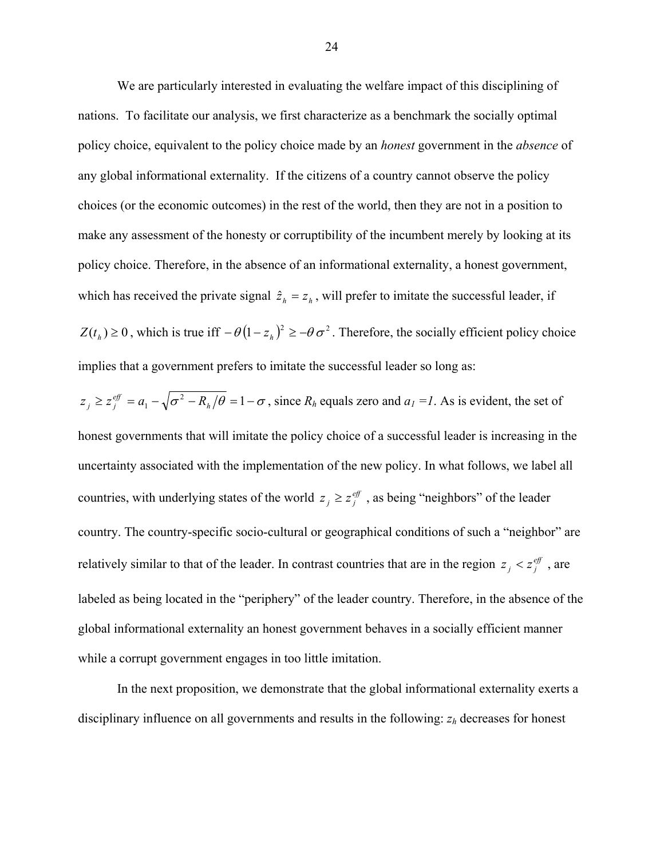We are particularly interested in evaluating the welfare impact of this disciplining of nations. To facilitate our analysis, we first characterize as a benchmark the socially optimal policy choice, equivalent to the policy choice made by an *honest* government in the *absence* of any global informational externality. If the citizens of a country cannot observe the policy choices (or the economic outcomes) in the rest of the world, then they are not in a position to make any assessment of the honesty or corruptibility of the incumbent merely by looking at its policy choice. Therefore, in the absence of an informational externality, a honest government, which has received the private signal  $\hat{z}_h = z_h$ , will prefer to imitate the successful leader, if *Z*( $t_h$ ) ≥ 0, which is true iff  $-\theta (1 - z_h)^2$  ≥  $-\theta \sigma^2$ . Therefore, the socially efficient policy choice implies that a government prefers to imitate the successful leader so long as:

 $z_i \geq z_i^{eff} = a_1 - \sqrt{\sigma^2 - R_h/\theta} = 1 - \sigma$ , since  $R_h$  equals zero and  $a_i = I$ . As is evident, the set of honest governments that will imitate the policy choice of a successful leader is increasing in the uncertainty associated with the implementation of the new policy. In what follows, we label all countries, with underlying states of the world  $z_j \geq z_j^{eff}$ , as being "neighbors" of the leader country. The country-specific socio-cultural or geographical conditions of such a "neighbor" are relatively similar to that of the leader. In contrast countries that are in the region  $z_j < z_j^{eff}$ , are labeled as being located in the "periphery" of the leader country. Therefore, in the absence of the global informational externality an honest government behaves in a socially efficient manner while a corrupt government engages in too little imitation.

 In the next proposition, we demonstrate that the global informational externality exerts a disciplinary influence on all governments and results in the following:  $z_h$  decreases for honest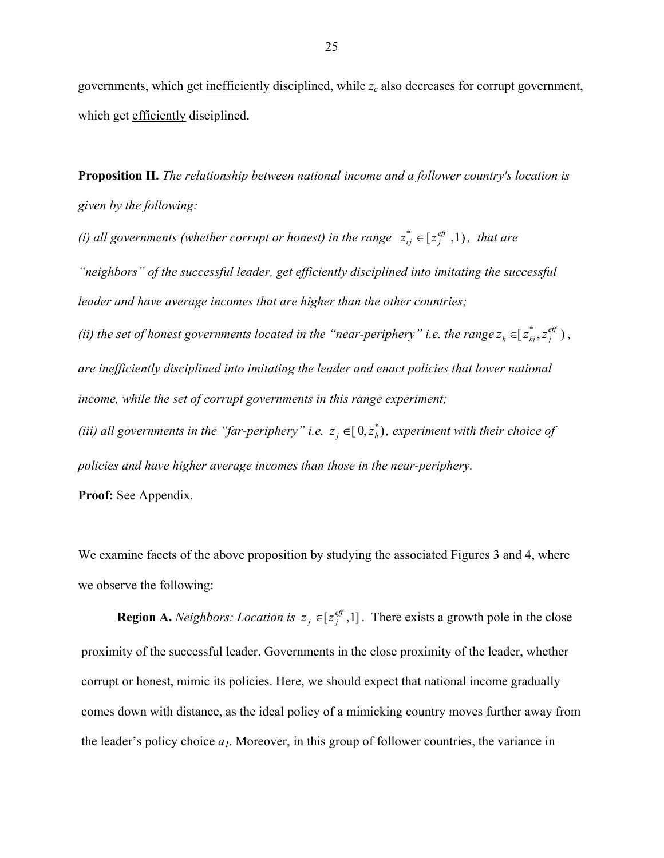governments, which get inefficiently disciplined, while *zc* also decreases for corrupt government, which get efficiently disciplined.

**Proposition II.** *The relationship between national income and a follower country's location is given by the following:* 

*(i) all governments (whether corrupt or honest) in the range*  $z_{ci}^{*} \in [z_{j}^{eff}, 1)$ , that are *"neighbors" of the successful leader, get efficiently disciplined into imitating the successful leader and have average incomes that are higher than the other countries;* 

*(ii) the set of honest governments located in the "near-periphery" i.e. the range*  $z_{_h} \in [z_{hj}^*, z_j^{e\!})$ , *are inefficiently disciplined into imitating the leader and enact policies that lower national income, while the set of corrupt governments in this range experiment;* 

*(iii) all governments in the "far-periphery" i.e.*  $z_j \in [0, z_h^*)$ , experiment with their choice of *policies and have higher average incomes than those in the near-periphery.*

**Proof:** See Appendix.

We examine facets of the above proposition by studying the associated Figures 3 and 4, where we observe the following:

**Region A.** *Neighbors: Location is*  $z_j \in [z_j^{\text{eff}}, 1]$ . There exists a growth pole in the close proximity of the successful leader. Governments in the close proximity of the leader, whether corrupt or honest, mimic its policies. Here, we should expect that national income gradually comes down with distance, as the ideal policy of a mimicking country moves further away from the leader's policy choice  $a_1$ . Moreover, in this group of follower countries, the variance in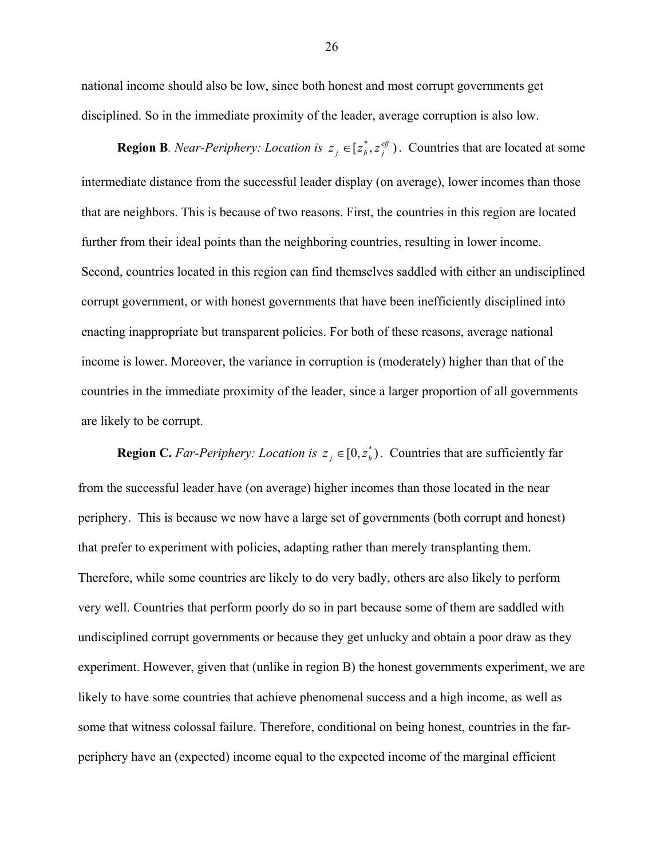national income should also be low, since both honest and most corrupt governments get disciplined. So in the immediate proximity of the leader, average corruption is also low.

**Region B***. Near-Periphery: Location is*  $z_j \in [z_h^*, z_j^{\text{eff}}]$ . Countries that are located at some intermediate distance from the successful leader display (on average), lower incomes than those that are neighbors. This is because of two reasons. First, the countries in this region are located further from their ideal points than the neighboring countries, resulting in lower income. Second, countries located in this region can find themselves saddled with either an undisciplined corrupt government, or with honest governments that have been inefficiently disciplined into enacting inappropriate but transparent policies. For both of these reasons, average national income is lower. Moreover, the variance in corruption is (moderately) higher than that of the countries in the immediate proximity of the leader, since a larger proportion of all governments are likely to be corrupt.

**Region C.** *Far-Periphery: Location is*  $z_j \in [0, z_n^*)$ . Countries that are sufficiently far from the successful leader have (on average) higher incomes than those located in the near periphery. This is because we now have a large set of governments (both corrupt and honest) that prefer to experiment with policies, adapting rather than merely transplanting them. Therefore, while some countries are likely to do very badly, others are also likely to perform very well. Countries that perform poorly do so in part because some of them are saddled with undisciplined corrupt governments or because they get unlucky and obtain a poor draw as they experiment. However, given that (unlike in region B) the honest governments experiment, we are likely to have some countries that achieve phenomenal success and a high income, as well as some that witness colossal failure. Therefore, conditional on being honest, countries in the farperiphery have an (expected) income equal to the expected income of the marginal efficient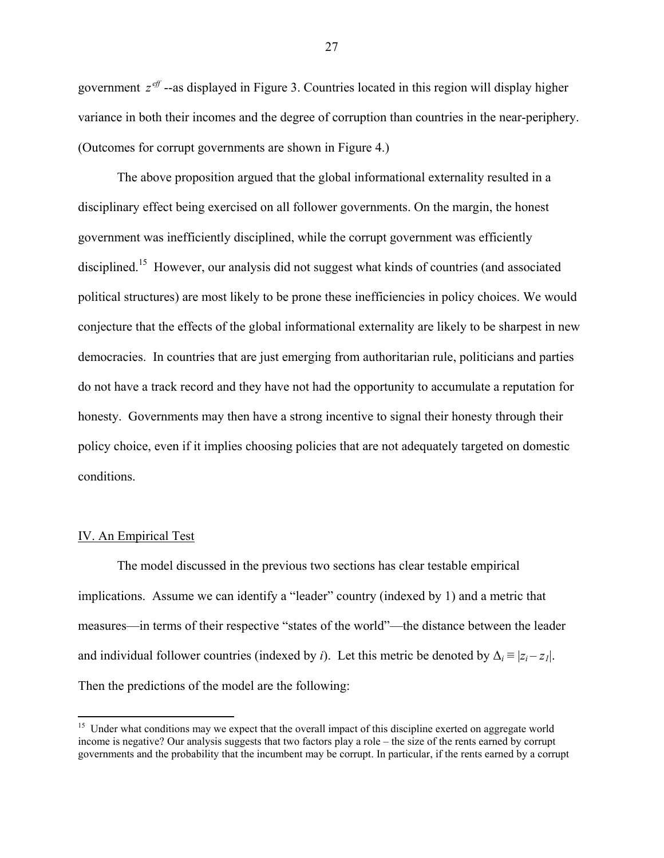government  $z^{ef}$  --as displayed in Figure 3. Countries located in this region will display higher variance in both their incomes and the degree of corruption than countries in the near-periphery. (Outcomes for corrupt governments are shown in Figure 4.)

 The above proposition argued that the global informational externality resulted in a disciplinary effect being exercised on all follower governments. On the margin, the honest government was inefficiently disciplined, while the corrupt government was efficiently disciplined.<sup>15</sup> However, our analysis did not suggest what kinds of countries (and associated political structures) are most likely to be prone these inefficiencies in policy choices. We would conjecture that the effects of the global informational externality are likely to be sharpest in new democracies. In countries that are just emerging from authoritarian rule, politicians and parties do not have a track record and they have not had the opportunity to accumulate a reputation for honesty. Governments may then have a strong incentive to signal their honesty through their policy choice, even if it implies choosing policies that are not adequately targeted on domestic conditions.

#### IV. An Empirical Test

 $\overline{a}$ 

 The model discussed in the previous two sections has clear testable empirical implications. Assume we can identify a "leader" country (indexed by 1) and a metric that measures—in terms of their respective "states of the world"—the distance between the leader and individual follower countries (indexed by *i*). Let this metric be denoted by  $\Delta_i \equiv |z_i - z_j|$ . Then the predictions of the model are the following:

<sup>&</sup>lt;sup>15</sup> Under what conditions may we expect that the overall impact of this discipline exerted on aggregate world income is negative? Our analysis suggests that two factors play a role – the size of the rents earned by corrupt governments and the probability that the incumbent may be corrupt. In particular, if the rents earned by a corrupt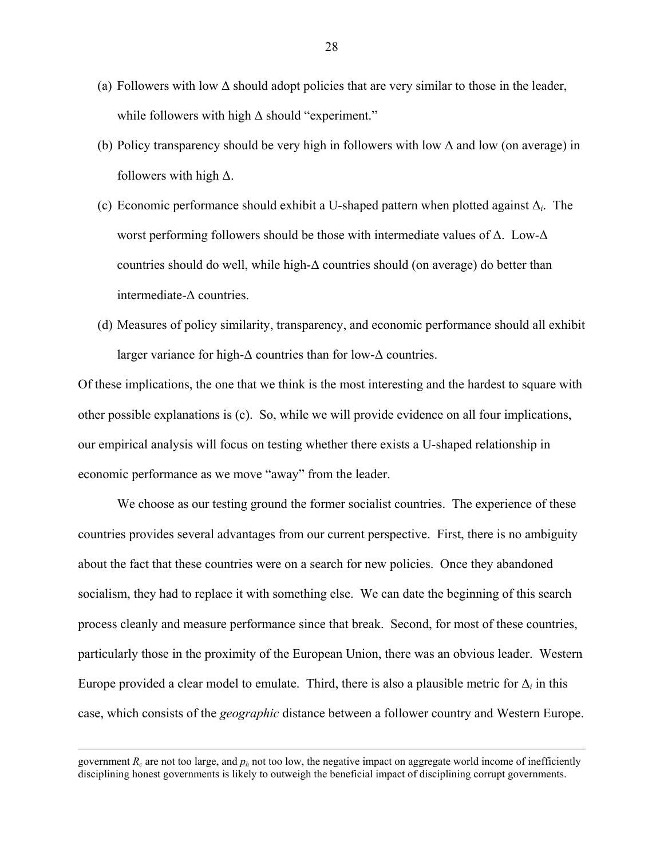- (a) Followers with low ∆ should adopt policies that are very similar to those in the leader, while followers with high ∆ should "experiment."
- (b) Policy transparency should be very high in followers with low ∆ and low (on average) in followers with high  $\Delta$ .
- (c) Economic performance should exhibit a U-shaped pattern when plotted against ∆*i*. The worst performing followers should be those with intermediate values of ∆. Low-∆ countries should do well, while high-∆ countries should (on average) do better than intermediate-∆ countries.
- (d) Measures of policy similarity, transparency, and economic performance should all exhibit larger variance for high-∆ countries than for low-∆ countries.

Of these implications, the one that we think is the most interesting and the hardest to square with other possible explanations is (c). So, while we will provide evidence on all four implications, our empirical analysis will focus on testing whether there exists a U-shaped relationship in economic performance as we move "away" from the leader.

We choose as our testing ground the former socialist countries. The experience of these countries provides several advantages from our current perspective. First, there is no ambiguity about the fact that these countries were on a search for new policies. Once they abandoned socialism, they had to replace it with something else. We can date the beginning of this search process cleanly and measure performance since that break. Second, for most of these countries, particularly those in the proximity of the European Union, there was an obvious leader. Western Europe provided a clear model to emulate. Third, there is also a plausible metric for  $\Delta_i$  in this case, which consists of the *geographic* distance between a follower country and Western Europe.

government  $R_c$  are not too large, and  $p_h$  not too low, the negative impact on aggregate world income of inefficiently disciplining honest governments is likely to outweigh the beneficial impact of disciplining corrupt governments.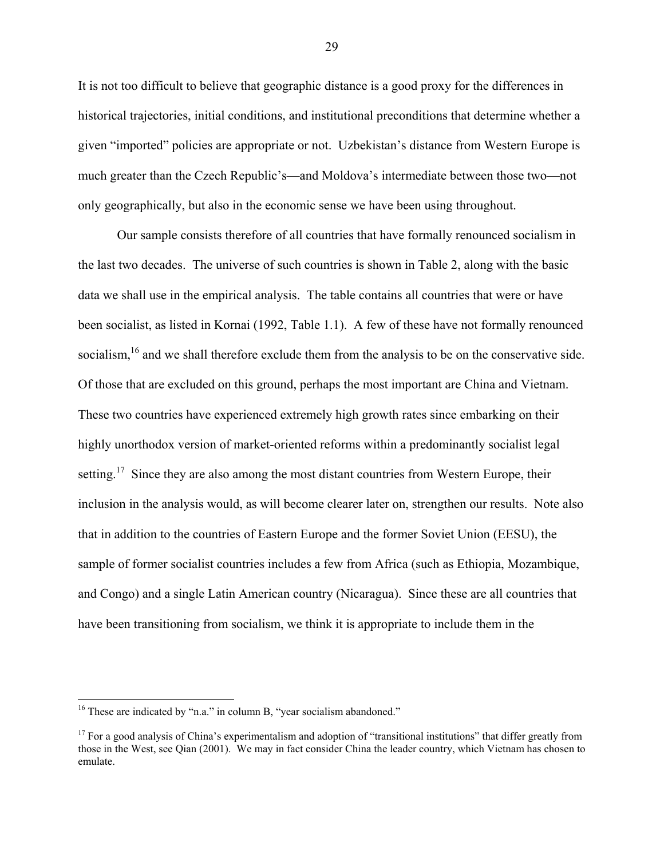It is not too difficult to believe that geographic distance is a good proxy for the differences in historical trajectories, initial conditions, and institutional preconditions that determine whether a given "imported" policies are appropriate or not. Uzbekistan's distance from Western Europe is much greater than the Czech Republic's—and Moldova's intermediate between those two—not only geographically, but also in the economic sense we have been using throughout.

Our sample consists therefore of all countries that have formally renounced socialism in the last two decades. The universe of such countries is shown in Table 2, along with the basic data we shall use in the empirical analysis. The table contains all countries that were or have been socialist, as listed in Kornai (1992, Table 1.1). A few of these have not formally renounced socialism,<sup>16</sup> and we shall therefore exclude them from the analysis to be on the conservative side. Of those that are excluded on this ground, perhaps the most important are China and Vietnam. These two countries have experienced extremely high growth rates since embarking on their highly unorthodox version of market-oriented reforms within a predominantly socialist legal setting.<sup>17</sup> Since they are also among the most distant countries from Western Europe, their inclusion in the analysis would, as will become clearer later on, strengthen our results. Note also that in addition to the countries of Eastern Europe and the former Soviet Union (EESU), the sample of former socialist countries includes a few from Africa (such as Ethiopia, Mozambique, and Congo) and a single Latin American country (Nicaragua). Since these are all countries that have been transitioning from socialism, we think it is appropriate to include them in the

 $16$  These are indicated by "n.a." in column B, "year socialism abandoned."

 $17$  For a good analysis of China's experimentalism and adoption of "transitional institutions" that differ greatly from those in the West, see Qian (2001). We may in fact consider China the leader country, which Vietnam has chosen to emulate.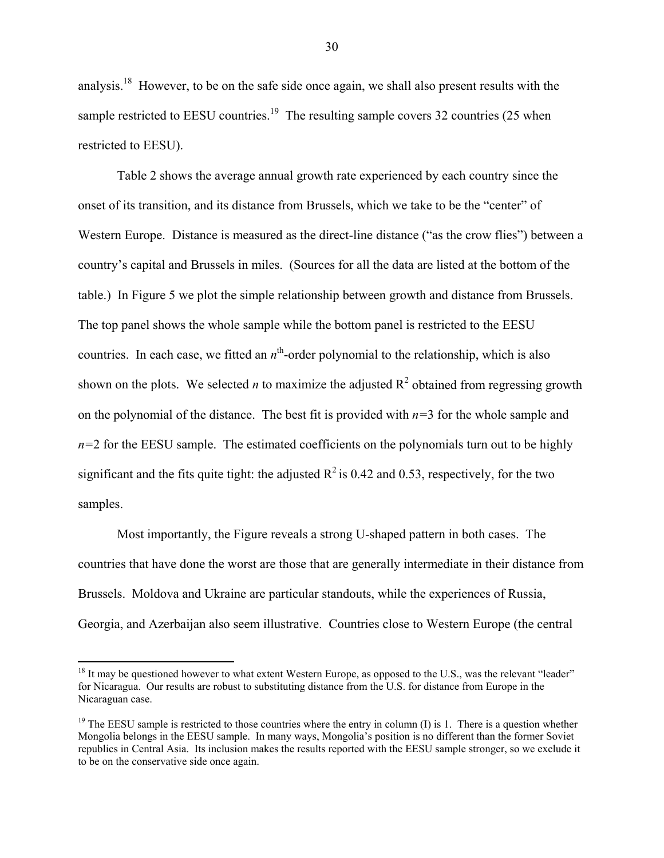analysis.18 However, to be on the safe side once again, we shall also present results with the sample restricted to EESU countries.<sup>19</sup> The resulting sample covers 32 countries (25 when restricted to EESU).

Table 2 shows the average annual growth rate experienced by each country since the onset of its transition, and its distance from Brussels, which we take to be the "center" of Western Europe. Distance is measured as the direct-line distance ("as the crow flies") between a country's capital and Brussels in miles. (Sources for all the data are listed at the bottom of the table.) In Figure 5 we plot the simple relationship between growth and distance from Brussels. The top panel shows the whole sample while the bottom panel is restricted to the EESU countries. In each case, we fitted an  $n^{\text{th}}$ -order polynomial to the relationship, which is also shown on the plots. We selected *n* to maximize the adjusted  $R^2$  obtained from regressing growth on the polynomial of the distance. The best fit is provided with *n=*3 for the whole sample and  $n=2$  for the EESU sample. The estimated coefficients on the polynomials turn out to be highly significant and the fits quite tight: the adjusted  $R^2$  is 0.42 and 0.53, respectively, for the two samples.

Most importantly, the Figure reveals a strong U-shaped pattern in both cases. The countries that have done the worst are those that are generally intermediate in their distance from Brussels. Moldova and Ukraine are particular standouts, while the experiences of Russia, Georgia, and Azerbaijan also seem illustrative. Countries close to Western Europe (the central

 $18$  It may be questioned however to what extent Western Europe, as opposed to the U.S., was the relevant "leader" for Nicaragua. Our results are robust to substituting distance from the U.S. for distance from Europe in the Nicaraguan case.

<sup>&</sup>lt;sup>19</sup> The EESU sample is restricted to those countries where the entry in column (I) is 1. There is a question whether Mongolia belongs in the EESU sample. In many ways, Mongolia's position is no different than the former Soviet republics in Central Asia. Its inclusion makes the results reported with the EESU sample stronger, so we exclude it to be on the conservative side once again.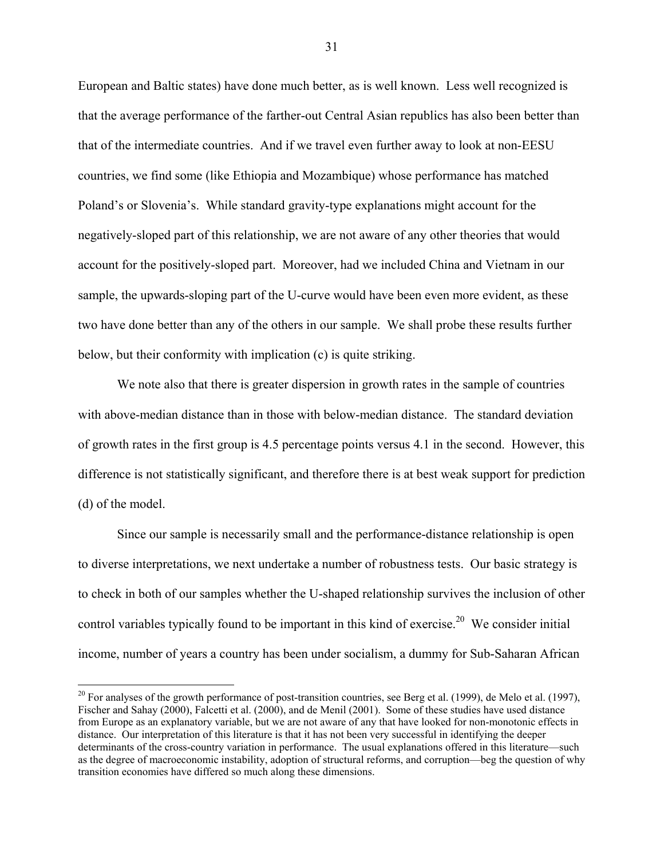European and Baltic states) have done much better, as is well known. Less well recognized is that the average performance of the farther-out Central Asian republics has also been better than that of the intermediate countries. And if we travel even further away to look at non-EESU countries, we find some (like Ethiopia and Mozambique) whose performance has matched Poland's or Slovenia's. While standard gravity-type explanations might account for the negatively-sloped part of this relationship, we are not aware of any other theories that would account for the positively-sloped part. Moreover, had we included China and Vietnam in our sample, the upwards-sloping part of the U-curve would have been even more evident, as these two have done better than any of the others in our sample. We shall probe these results further below, but their conformity with implication (c) is quite striking.

We note also that there is greater dispersion in growth rates in the sample of countries with above-median distance than in those with below-median distance. The standard deviation of growth rates in the first group is 4.5 percentage points versus 4.1 in the second. However, this difference is not statistically significant, and therefore there is at best weak support for prediction (d) of the model.

Since our sample is necessarily small and the performance-distance relationship is open to diverse interpretations, we next undertake a number of robustness tests. Our basic strategy is to check in both of our samples whether the U-shaped relationship survives the inclusion of other control variables typically found to be important in this kind of exercise.<sup>20</sup> We consider initial income, number of years a country has been under socialism, a dummy for Sub-Saharan African

 $20$  For analyses of the growth performance of post-transition countries, see Berg et al. (1999), de Melo et al. (1997), Fischer and Sahay (2000), Falcetti et al. (2000), and de Menil (2001). Some of these studies have used distance from Europe as an explanatory variable, but we are not aware of any that have looked for non-monotonic effects in distance. Our interpretation of this literature is that it has not been very successful in identifying the deeper determinants of the cross-country variation in performance. The usual explanations offered in this literature—such as the degree of macroeconomic instability, adoption of structural reforms, and corruption—beg the question of why transition economies have differed so much along these dimensions.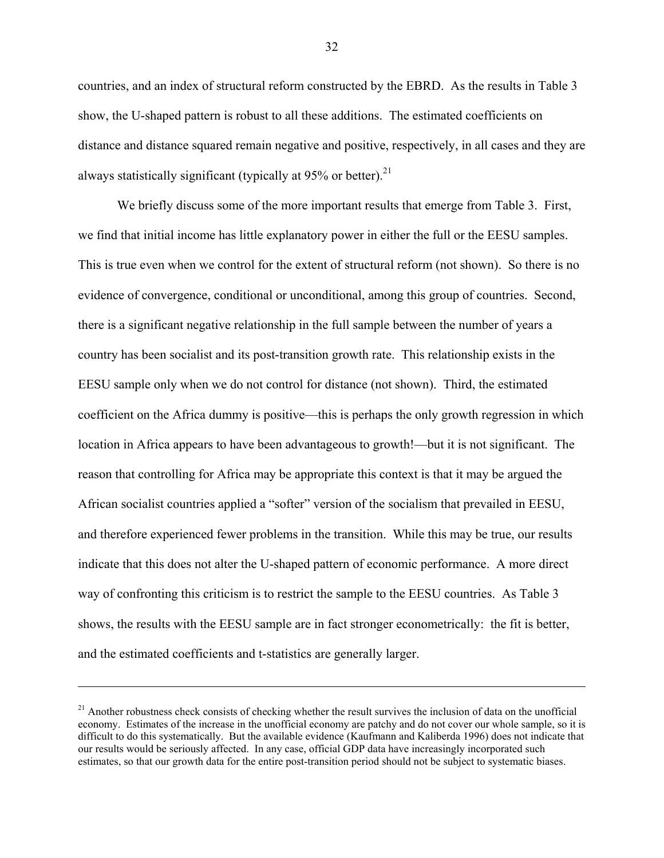countries, and an index of structural reform constructed by the EBRD. As the results in Table 3 show, the U-shaped pattern is robust to all these additions. The estimated coefficients on distance and distance squared remain negative and positive, respectively, in all cases and they are always statistically significant (typically at  $95\%$  or better).<sup>21</sup>

We briefly discuss some of the more important results that emerge from Table 3. First, we find that initial income has little explanatory power in either the full or the EESU samples. This is true even when we control for the extent of structural reform (not shown). So there is no evidence of convergence, conditional or unconditional, among this group of countries. Second, there is a significant negative relationship in the full sample between the number of years a country has been socialist and its post-transition growth rate. This relationship exists in the EESU sample only when we do not control for distance (not shown). Third, the estimated coefficient on the Africa dummy is positive—this is perhaps the only growth regression in which location in Africa appears to have been advantageous to growth!—but it is not significant. The reason that controlling for Africa may be appropriate this context is that it may be argued the African socialist countries applied a "softer" version of the socialism that prevailed in EESU, and therefore experienced fewer problems in the transition. While this may be true, our results indicate that this does not alter the U-shaped pattern of economic performance. A more direct way of confronting this criticism is to restrict the sample to the EESU countries. As Table 3 shows, the results with the EESU sample are in fact stronger econometrically: the fit is better, and the estimated coefficients and t-statistics are generally larger.

 $21$  Another robustness check consists of checking whether the result survives the inclusion of data on the unofficial economy. Estimates of the increase in the unofficial economy are patchy and do not cover our whole sample, so it is difficult to do this systematically. But the available evidence (Kaufmann and Kaliberda 1996) does not indicate that our results would be seriously affected. In any case, official GDP data have increasingly incorporated such estimates, so that our growth data for the entire post-transition period should not be subject to systematic biases.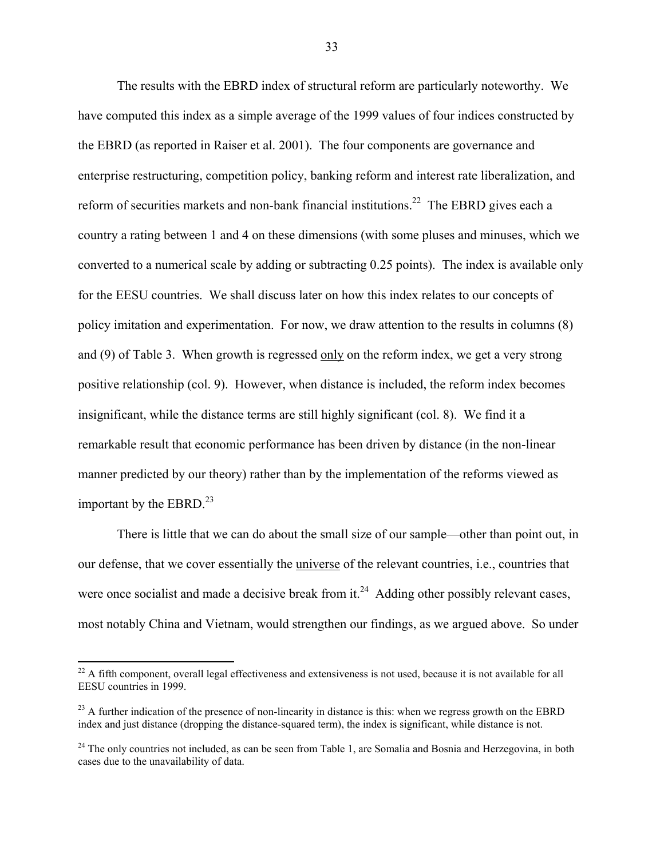The results with the EBRD index of structural reform are particularly noteworthy. We have computed this index as a simple average of the 1999 values of four indices constructed by the EBRD (as reported in Raiser et al. 2001). The four components are governance and enterprise restructuring, competition policy, banking reform and interest rate liberalization, and reform of securities markets and non-bank financial institutions.<sup>22</sup> The EBRD gives each a country a rating between 1 and 4 on these dimensions (with some pluses and minuses, which we converted to a numerical scale by adding or subtracting 0.25 points). The index is available only for the EESU countries. We shall discuss later on how this index relates to our concepts of policy imitation and experimentation. For now, we draw attention to the results in columns (8) and (9) of Table 3. When growth is regressed only on the reform index, we get a very strong positive relationship (col. 9). However, when distance is included, the reform index becomes insignificant, while the distance terms are still highly significant (col. 8). We find it a remarkable result that economic performance has been driven by distance (in the non-linear manner predicted by our theory) rather than by the implementation of the reforms viewed as important by the EBRD. $^{23}$ 

There is little that we can do about the small size of our sample—other than point out, in our defense, that we cover essentially the universe of the relevant countries, i.e., countries that were once socialist and made a decisive break from it.<sup>24</sup> Adding other possibly relevant cases, most notably China and Vietnam, would strengthen our findings, as we argued above. So under

 $22$  A fifth component, overall legal effectiveness and extensiveness is not used, because it is not available for all EESU countries in 1999.

 $^{23}$  A further indication of the presence of non-linearity in distance is this: when we regress growth on the EBRD index and just distance (dropping the distance-squared term), the index is significant, while distance is not.

 $24$  The only countries not included, as can be seen from Table 1, are Somalia and Bosnia and Herzegovina, in both cases due to the unavailability of data.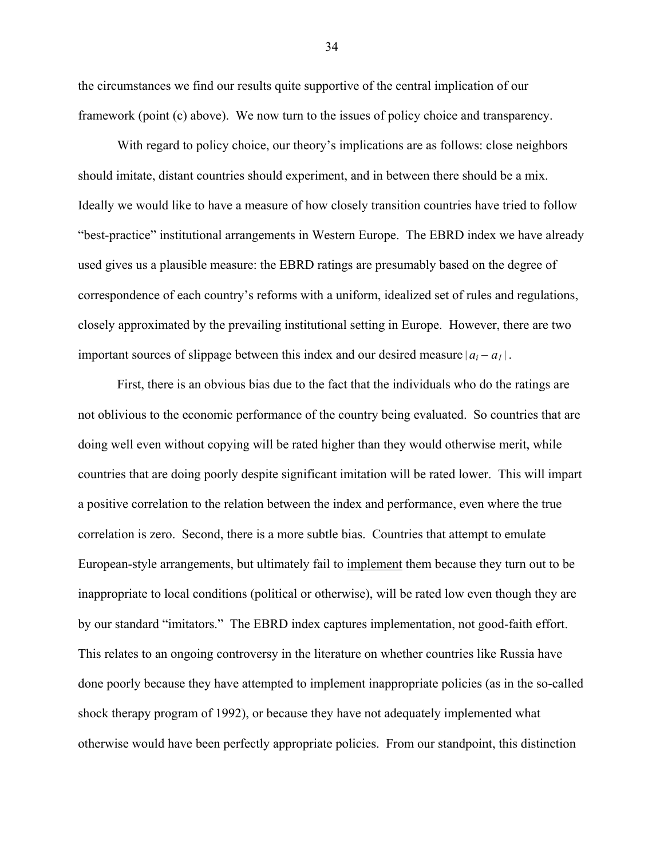the circumstances we find our results quite supportive of the central implication of our framework (point (c) above). We now turn to the issues of policy choice and transparency.

With regard to policy choice, our theory's implications are as follows: close neighbors should imitate, distant countries should experiment, and in between there should be a mix. Ideally we would like to have a measure of how closely transition countries have tried to follow "best-practice" institutional arrangements in Western Europe. The EBRD index we have already used gives us a plausible measure: the EBRD ratings are presumably based on the degree of correspondence of each country's reforms with a uniform, idealized set of rules and regulations, closely approximated by the prevailing institutional setting in Europe. However, there are two important sources of slippage between this index and our desired measure  $|a_i - a_j|$ .

First, there is an obvious bias due to the fact that the individuals who do the ratings are not oblivious to the economic performance of the country being evaluated. So countries that are doing well even without copying will be rated higher than they would otherwise merit, while countries that are doing poorly despite significant imitation will be rated lower. This will impart a positive correlation to the relation between the index and performance, even where the true correlation is zero. Second, there is a more subtle bias. Countries that attempt to emulate European-style arrangements, but ultimately fail to implement them because they turn out to be inappropriate to local conditions (political or otherwise), will be rated low even though they are by our standard "imitators." The EBRD index captures implementation, not good-faith effort. This relates to an ongoing controversy in the literature on whether countries like Russia have done poorly because they have attempted to implement inappropriate policies (as in the so-called shock therapy program of 1992), or because they have not adequately implemented what otherwise would have been perfectly appropriate policies. From our standpoint, this distinction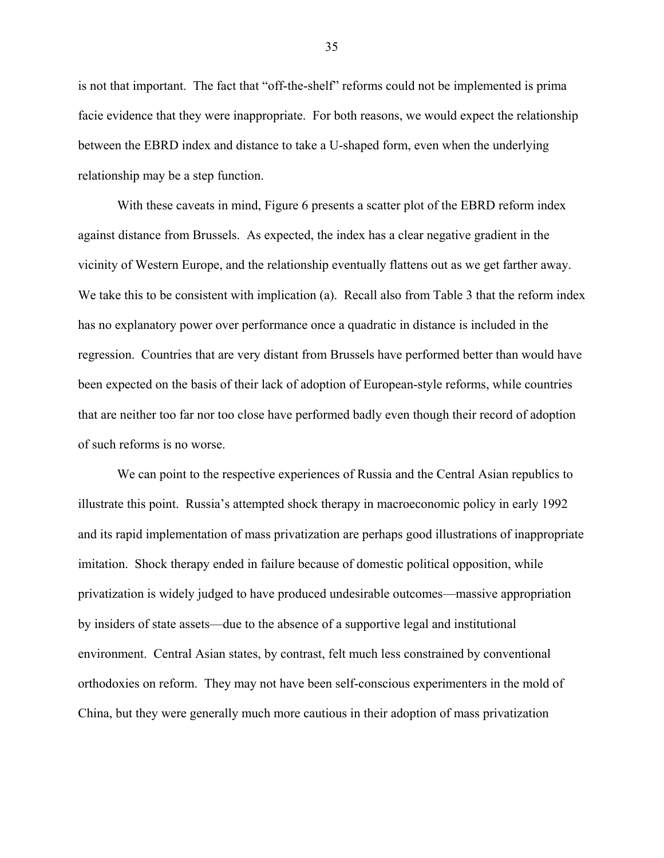is not that important. The fact that "off-the-shelf" reforms could not be implemented is prima facie evidence that they were inappropriate. For both reasons, we would expect the relationship between the EBRD index and distance to take a U-shaped form, even when the underlying relationship may be a step function.

With these caveats in mind, Figure 6 presents a scatter plot of the EBRD reform index against distance from Brussels. As expected, the index has a clear negative gradient in the vicinity of Western Europe, and the relationship eventually flattens out as we get farther away. We take this to be consistent with implication (a). Recall also from Table 3 that the reform index has no explanatory power over performance once a quadratic in distance is included in the regression. Countries that are very distant from Brussels have performed better than would have been expected on the basis of their lack of adoption of European-style reforms, while countries that are neither too far nor too close have performed badly even though their record of adoption of such reforms is no worse.

We can point to the respective experiences of Russia and the Central Asian republics to illustrate this point. Russia's attempted shock therapy in macroeconomic policy in early 1992 and its rapid implementation of mass privatization are perhaps good illustrations of inappropriate imitation. Shock therapy ended in failure because of domestic political opposition, while privatization is widely judged to have produced undesirable outcomes—massive appropriation by insiders of state assets—due to the absence of a supportive legal and institutional environment. Central Asian states, by contrast, felt much less constrained by conventional orthodoxies on reform. They may not have been self-conscious experimenters in the mold of China, but they were generally much more cautious in their adoption of mass privatization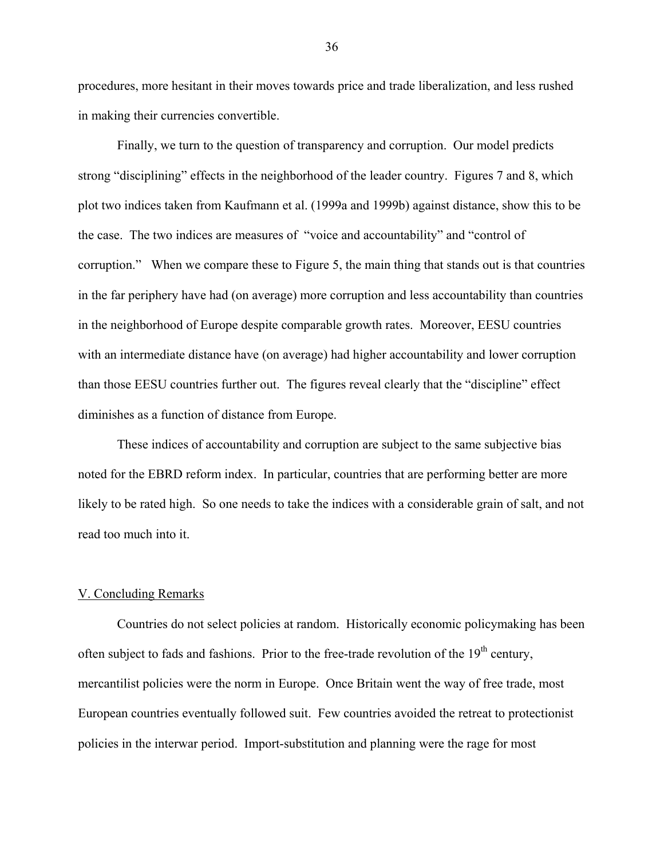procedures, more hesitant in their moves towards price and trade liberalization, and less rushed in making their currencies convertible.

Finally, we turn to the question of transparency and corruption. Our model predicts strong "disciplining" effects in the neighborhood of the leader country. Figures 7 and 8, which plot two indices taken from Kaufmann et al. (1999a and 1999b) against distance, show this to be the case. The two indices are measures of "voice and accountability" and "control of corruption." When we compare these to Figure 5, the main thing that stands out is that countries in the far periphery have had (on average) more corruption and less accountability than countries in the neighborhood of Europe despite comparable growth rates. Moreover, EESU countries with an intermediate distance have (on average) had higher accountability and lower corruption than those EESU countries further out. The figures reveal clearly that the "discipline" effect diminishes as a function of distance from Europe.

These indices of accountability and corruption are subject to the same subjective bias noted for the EBRD reform index. In particular, countries that are performing better are more likely to be rated high. So one needs to take the indices with a considerable grain of salt, and not read too much into it.

#### V. Concluding Remarks

Countries do not select policies at random. Historically economic policymaking has been often subject to fads and fashions. Prior to the free-trade revolution of the  $19<sup>th</sup>$  century, mercantilist policies were the norm in Europe. Once Britain went the way of free trade, most European countries eventually followed suit. Few countries avoided the retreat to protectionist policies in the interwar period. Import-substitution and planning were the rage for most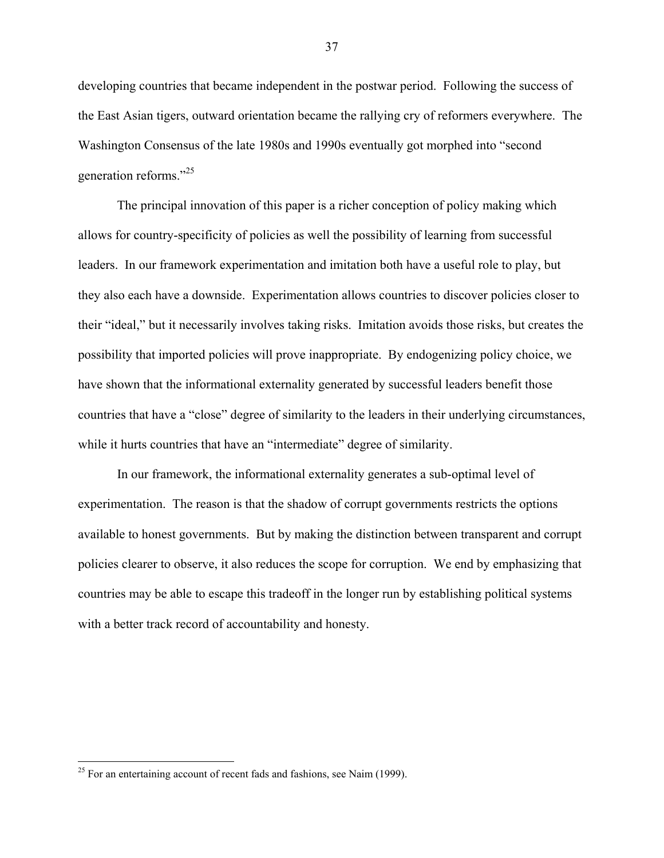developing countries that became independent in the postwar period. Following the success of the East Asian tigers, outward orientation became the rallying cry of reformers everywhere. The Washington Consensus of the late 1980s and 1990s eventually got morphed into "second generation reforms."25

The principal innovation of this paper is a richer conception of policy making which allows for country-specificity of policies as well the possibility of learning from successful leaders. In our framework experimentation and imitation both have a useful role to play, but they also each have a downside. Experimentation allows countries to discover policies closer to their "ideal," but it necessarily involves taking risks. Imitation avoids those risks, but creates the possibility that imported policies will prove inappropriate. By endogenizing policy choice, we have shown that the informational externality generated by successful leaders benefit those countries that have a "close" degree of similarity to the leaders in their underlying circumstances, while it hurts countries that have an "intermediate" degree of similarity.

In our framework, the informational externality generates a sub-optimal level of experimentation. The reason is that the shadow of corrupt governments restricts the options available to honest governments. But by making the distinction between transparent and corrupt policies clearer to observe, it also reduces the scope for corruption. We end by emphasizing that countries may be able to escape this tradeoff in the longer run by establishing political systems with a better track record of accountability and honesty.

 $25$  For an entertaining account of recent fads and fashions, see Naim (1999).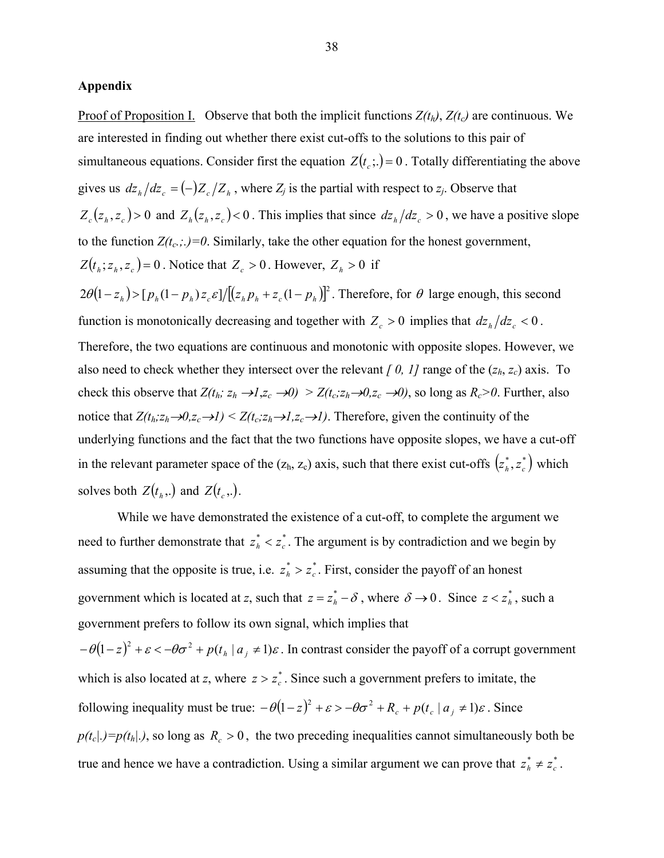## **Appendix**

Proof of Proposition I. Observe that both the implicit functions  $Z(t_h)$ ,  $Z(t_c)$  are continuous. We are interested in finding out whether there exist cut-offs to the solutions to this pair of simultaneous equations. Consider first the equation  $Z(t_c;.) = 0$ . Totally differentiating the above gives us  $dz_h/dz_c = (-)Z_c/Z_h$ , where  $Z_j$  is the partial with respect to  $z_j$ . Observe that  $Z_c(z_h, z_c) > 0$  and  $Z_h(z_h, z_c) < 0$ . This implies that since  $dz_h/dz_c > 0$ , we have a positive slope to the function  $Z(t_c, \cdot) = 0$ . Similarly, take the other equation for the honest government,  $Z(t_h; z_h, z_c) = 0$ . Notice that  $Z_c > 0$ . However,  $Z_h > 0$  if

 $2\theta(1-z_h) > [p_h(1-p_h)z_c \varepsilon]/[(z_h p_h + z_c(1-p_h))]^2$ . Therefore, for  $\theta$  large enough, this second function is monotonically decreasing and together with  $Z_c > 0$  implies that  $dz_h/dz_c < 0$ .

Therefore, the two equations are continuous and monotonic with opposite slopes. However, we also need to check whether they intersect over the relevant *[0, 1]* range of the  $(z_h, z_c)$  axis. To check this observe that  $Z(t_h; z_h \to l, z_c \to 0) > Z(t_c; z_h \to 0, z_c \to 0)$ , so long as  $R_c > 0$ . Further, also notice that  $Z(t_h; z_h \rightarrow 0, z_c \rightarrow 1) \leq Z(t_c; z_h \rightarrow 1, z_c \rightarrow 1)$ . Therefore, given the continuity of the underlying functions and the fact that the two functions have opposite slopes, we have a cut-off in the relevant parameter space of the ( $z_h$ ,  $z_c$ ) axis, such that there exist cut-offs  $(z_h^*, z_c^*)$  which solves both  $Z(t_h,.)$  and  $Z(t_c,.)$ .

While we have demonstrated the existence of a cut-off, to complete the argument we need to further demonstrate that  $z_h^* < z_c^*$ . The argument is by contradiction and we begin by assuming that the opposite is true, i.e.  $z_h^* > z_c^*$ . First, consider the payoff of an honest government which is located at *z*, such that  $z = z_h^* - \delta$ , where  $\delta \to 0$ . Since  $z < z_h^*$ , such a government prefers to follow its own signal, which implies that  $-\theta(1-z)^2 + \varepsilon < -\theta\sigma^2 + p(t_h \mid a_j \neq 1)\varepsilon$ . In contrast consider the payoff of a corrupt government which is also located at *z*, where  $z > z_c^*$ . Since such a government prefers to imitate, the following inequality must be true:  $-\theta(1-z)^2 + \varepsilon > -\theta\sigma^2 + R_c + p(t_c | a_j \neq 1)\varepsilon$ . Since  $p(t_c|.)=p(t_h|.)$ , so long as  $R_c > 0$ , the two preceding inequalities cannot simultaneously both be

true and hence we have a contradiction. Using a similar argument we can prove that  $z_h^* \neq z_c^*$ .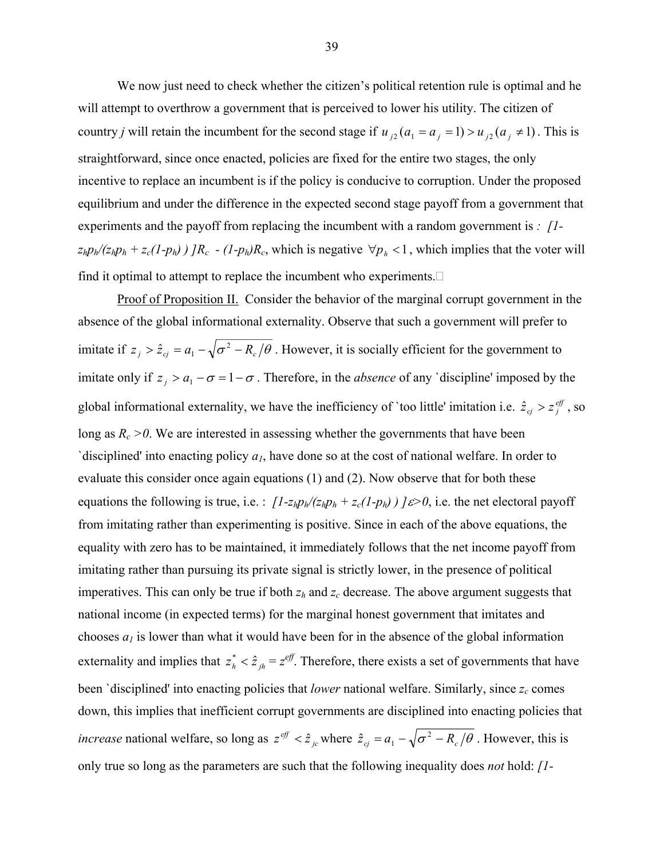We now just need to check whether the citizen's political retention rule is optimal and he will attempt to overthrow a government that is perceived to lower his utility. The citizen of country *j* will retain the incumbent for the second stage if  $u_{i2}$  ( $a_1 = a_j = 1$ ) >  $u_{i2}$  ( $a_j \neq 1$ ). This is straightforward, since once enacted, policies are fixed for the entire two stages, the only incentive to replace an incumbent is if the policy is conducive to corruption. Under the proposed equilibrium and under the difference in the expected second stage payoff from a government that experiments and the payoff from replacing the incumbent with a random government is *: [1*  $z_h p_h/(z_h p_h + z_c (1-p_h))$  *]R<sub>c</sub>* - (1- $p_h$ )*R<sub>c</sub>*, which is negative  $\forall p_h$  < 1, which implies that the voter will find it optimal to attempt to replace the incumbent who experiments. $\Box$ 

Proof of Proposition II. Consider the behavior of the marginal corrupt government in the absence of the global informational externality. Observe that such a government will prefer to imitate if  $z_j > \hat{z}_{cj} = a_1 - \sqrt{\sigma^2 - R_c/\theta}$ . However, it is socially efficient for the government to imitate only if  $z_j > a_1 - \sigma = 1 - \sigma$ . Therefore, in the *absence* of any `discipline' imposed by the global informational externality, we have the inefficiency of 'too little' imitation i.e.  $\hat{z}_{ci} > z_i^{eff}$ , so long as  $R_c > 0$ . We are interested in assessing whether the governments that have been  $\delta$  disciplined' into enacting policy  $a_1$ , have done so at the cost of national welfare. In order to evaluate this consider once again equations (1) and (2). Now observe that for both these equations the following is true, i.e. :  $\int_1^1 z_h p_h/(z_h p_h + z_c(1-p_h)) f \ge 0$ , i.e. the net electoral payoff from imitating rather than experimenting is positive. Since in each of the above equations, the equality with zero has to be maintained, it immediately follows that the net income payoff from imitating rather than pursuing its private signal is strictly lower, in the presence of political imperatives. This can only be true if both  $z_h$  and  $z_c$  decrease. The above argument suggests that national income (in expected terms) for the marginal honest government that imitates and chooses  $a_l$  is lower than what it would have been for in the absence of the global information externality and implies that  $z_h^* < \hat{z}_{jh} = z^{ef}$ . Therefore, there exists a set of governments that have been 'disciplined' into enacting policies that *lower* national welfare. Similarly, since  $z_c$  comes down, this implies that inefficient corrupt governments are disciplined into enacting policies that *increase* national welfare, so long as  $z^{ef} < \hat{z}_{j}$  where  $\hat{z}_{cj} = a_1 - \sqrt{\sigma^2 - R_c/\theta}$ . However, this is only true so long as the parameters are such that the following inequality does *not* hold: *[1-*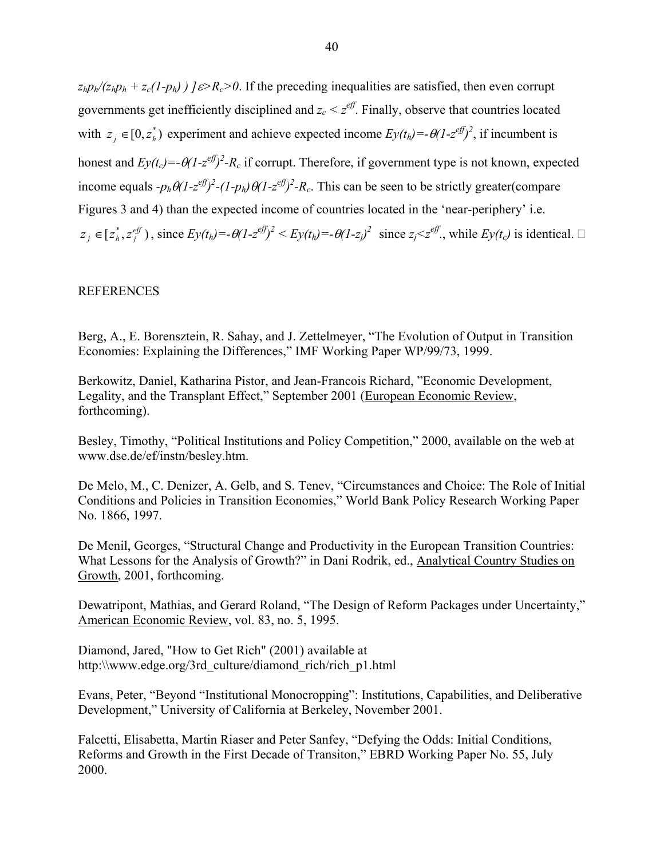$z_h p_h/(z_h p_h + z_c(1-p_h))$  *]* $\varepsilon > R_c > 0$ . If the preceding inequalities are satisfied, then even corrupt governments get inefficiently disciplined and  $z_c < z^{eff}$ . Finally, observe that countries located with  $z_j \in [0, z_h^*)$  experiment and achieve expected income  $E_y(t_h) = -\theta(1-z^{eff})^2$ , if incumbent is honest and  $E_y(t_c) = -\theta(1-z^{eff})^2 - R_c$  if corrupt. Therefore, if government type is not known, expected income equals  $-p_h\theta(1-z^{eff})^2-(1-p_h)\theta(1-z^{eff})^2-R_c$ . This can be seen to be strictly greater(compare Figures 3 and 4) than the expected income of countries located in the 'near-periphery' i.e.  $z_j \in [z_h^*, z_j^{\text{eff}})$ , since  $E_y(t_h) = -\theta(1-z^{\text{eff}})^2 < E_y(t_h) = -\theta(1-z_j)^2$  since  $z_j < z^{\text{eff}}$ , while  $E_y(t_c)$  is identical.  $\Box$ 

## REFERENCES

Berg, A., E. Borensztein, R. Sahay, and J. Zettelmeyer, "The Evolution of Output in Transition Economies: Explaining the Differences," IMF Working Paper WP/99/73, 1999.

Berkowitz, Daniel, Katharina Pistor, and Jean-Francois Richard, "Economic Development, Legality, and the Transplant Effect," September 2001 (European Economic Review, forthcoming).

Besley, Timothy, "Political Institutions and Policy Competition," 2000, available on the web at www.dse.de/ef/instn/besley.htm.

De Melo, M., C. Denizer, A. Gelb, and S. Tenev, "Circumstances and Choice: The Role of Initial Conditions and Policies in Transition Economies," World Bank Policy Research Working Paper No. 1866, 1997.

De Menil, Georges, "Structural Change and Productivity in the European Transition Countries: What Lessons for the Analysis of Growth?" in Dani Rodrik, ed., Analytical Country Studies on Growth, 2001, forthcoming.

Dewatripont, Mathias, and Gerard Roland, "The Design of Reform Packages under Uncertainty," American Economic Review, vol. 83, no. 5, 1995.

Diamond, Jared, "How to Get Rich" (2001) available at http:\\www.edge.org/3rd\_culture/diamond\_rich/rich\_p1.html

Evans, Peter, "Beyond "Institutional Monocropping": Institutions, Capabilities, and Deliberative Development," University of California at Berkeley, November 2001.

Falcetti, Elisabetta, Martin Riaser and Peter Sanfey, "Defying the Odds: Initial Conditions, Reforms and Growth in the First Decade of Transiton," EBRD Working Paper No. 55, July 2000.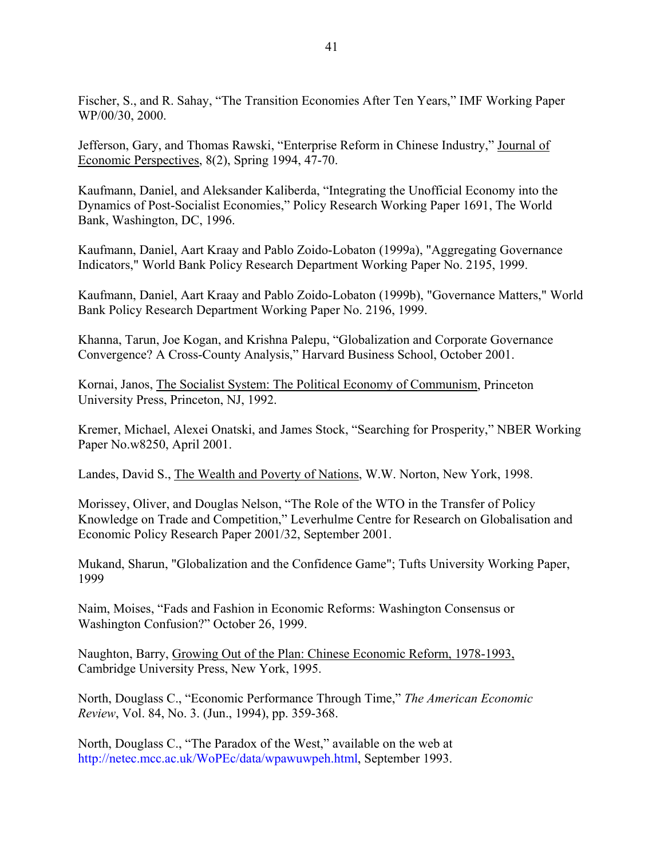Fischer, S., and R. Sahay, "The Transition Economies After Ten Years," IMF Working Paper WP/00/30, 2000.

Jefferson, Gary, and Thomas Rawski, "Enterprise Reform in Chinese Industry," Journal of Economic Perspectives, 8(2), Spring 1994, 47-70.

Kaufmann, Daniel, and Aleksander Kaliberda, "Integrating the Unofficial Economy into the Dynamics of Post-Socialist Economies," Policy Research Working Paper 1691, The World Bank, Washington, DC, 1996.

Kaufmann, Daniel, Aart Kraay and Pablo Zoido-Lobaton (1999a), "Aggregating Governance Indicators," World Bank Policy Research Department Working Paper No. 2195, 1999.

Kaufmann, Daniel, Aart Kraay and Pablo Zoido-Lobaton (1999b), "Governance Matters," World Bank Policy Research Department Working Paper No. 2196, 1999.

Khanna, Tarun, Joe Kogan, and Krishna Palepu, "Globalization and Corporate Governance Convergence? A Cross-County Analysis," Harvard Business School, October 2001.

Kornai, Janos, The Socialist System: The Political Economy of Communism, Princeton University Press, Princeton, NJ, 1992.

Kremer, Michael, Alexei Onatski, and James Stock, "Searching for Prosperity," NBER Working Paper No.w8250, April 2001.

Landes, David S., The Wealth and Poverty of Nations, W.W. Norton, New York, 1998.

Morissey, Oliver, and Douglas Nelson, "The Role of the WTO in the Transfer of Policy Knowledge on Trade and Competition," Leverhulme Centre for Research on Globalisation and Economic Policy Research Paper 2001/32, September 2001.

Mukand, Sharun, "Globalization and the Confidence Game"; Tufts University Working Paper, 1999

Naim, Moises, "Fads and Fashion in Economic Reforms: Washington Consensus or Washington Confusion?" October 26, 1999.

Naughton, Barry, Growing Out of the Plan: Chinese Economic Reform, 1978-1993, Cambridge University Press, New York, 1995.

North, Douglass C., "Economic Performance Through Time," *The American Economic Review*, Vol. 84, No. 3. (Jun., 1994), pp. 359-368.

North, Douglass C., "The Paradox of the West," available on the web at http://netec.mcc.ac.uk/WoPEc/data/wpawuwpeh.html, September 1993.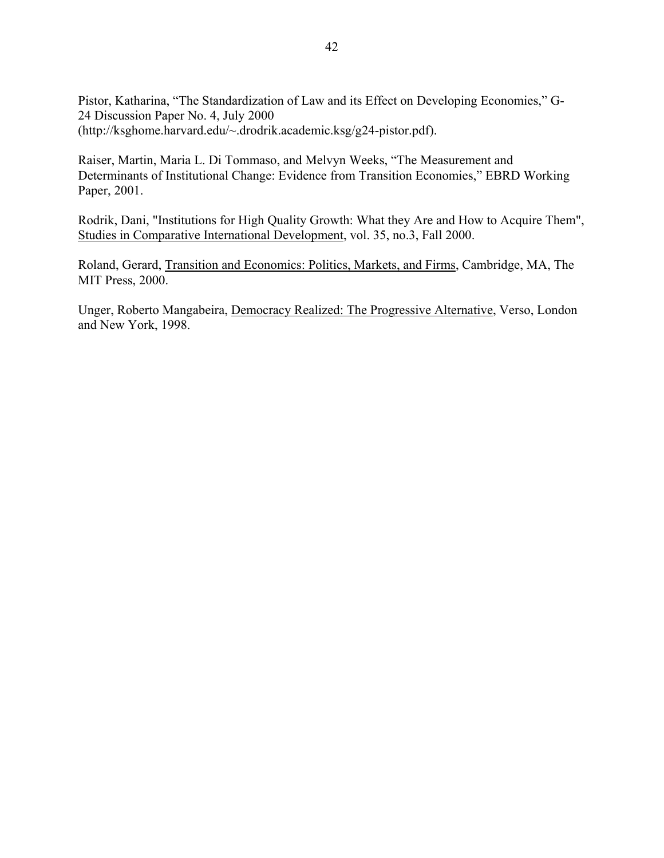Pistor, Katharina, "The Standardization of Law and its Effect on Developing Economies," G-24 Discussion Paper No. 4, July 2000 (http://ksghome.harvard.edu/~.drodrik.academic.ksg/g24-pistor.pdf).

Raiser, Martin, Maria L. Di Tommaso, and Melvyn Weeks, "The Measurement and Determinants of Institutional Change: Evidence from Transition Economies," EBRD Working Paper, 2001.

Rodrik, Dani, "Institutions for High Quality Growth: What they Are and How to Acquire Them", Studies in Comparative International Development, vol. 35, no.3, Fall 2000.

Roland, Gerard, Transition and Economics: Politics, Markets, and Firms, Cambridge, MA, The MIT Press, 2000.

Unger, Roberto Mangabeira, Democracy Realized: The Progressive Alternative, Verso, London and New York, 1998.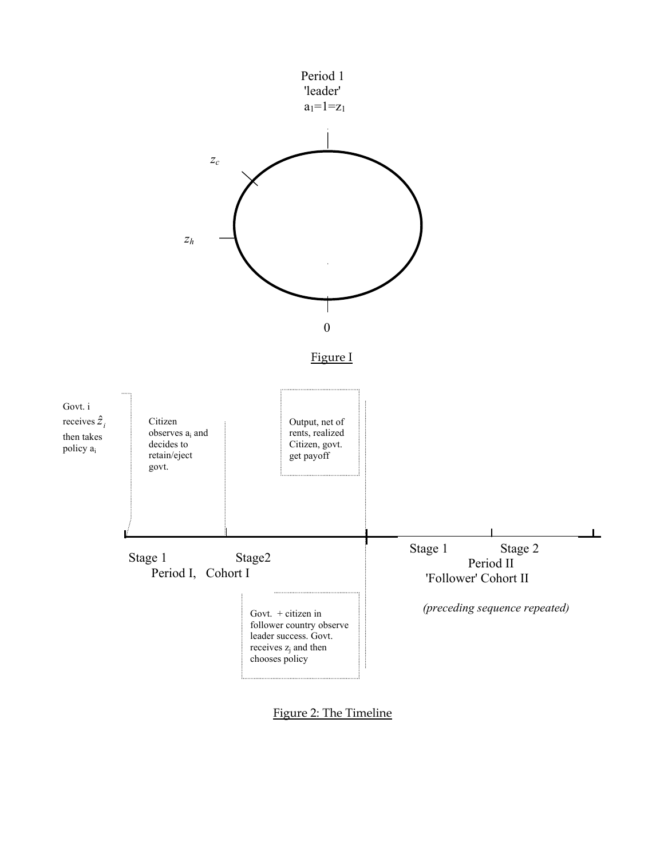

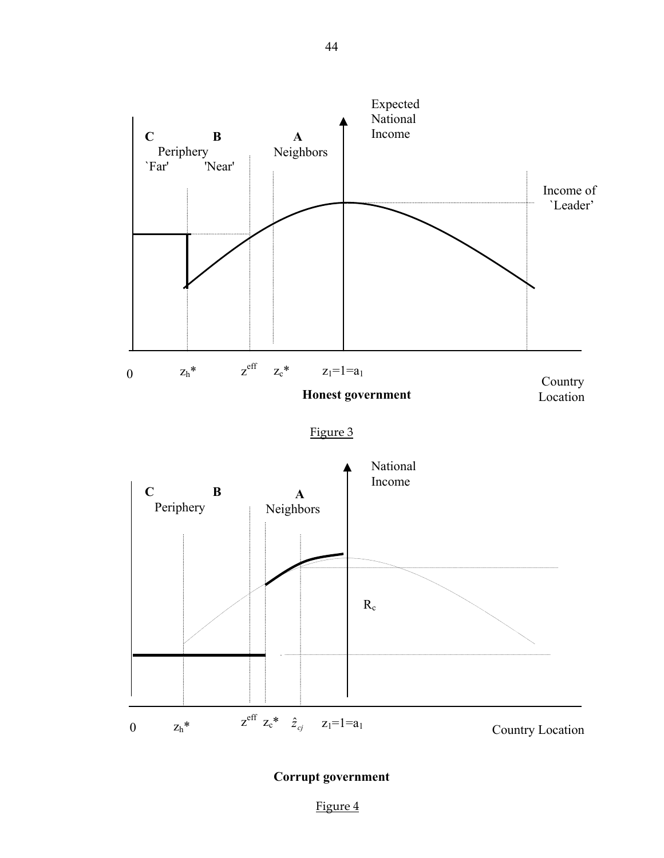

 **Corrupt government** 

Figure 4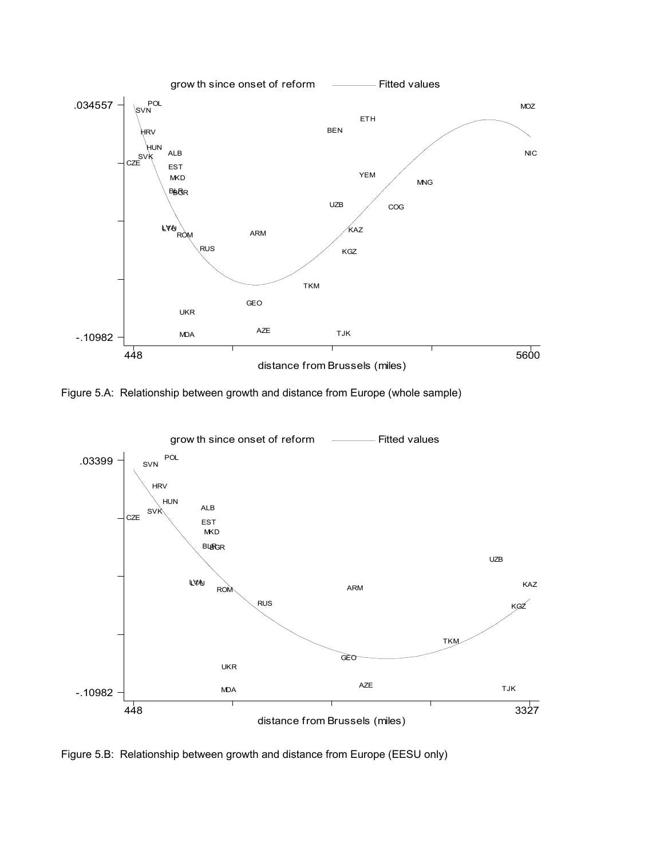

Figure 5.A: Relationship between growth and distance from Europe (whole sample)



Figure 5.B: Relationship between growth and distance from Europe (EESU only)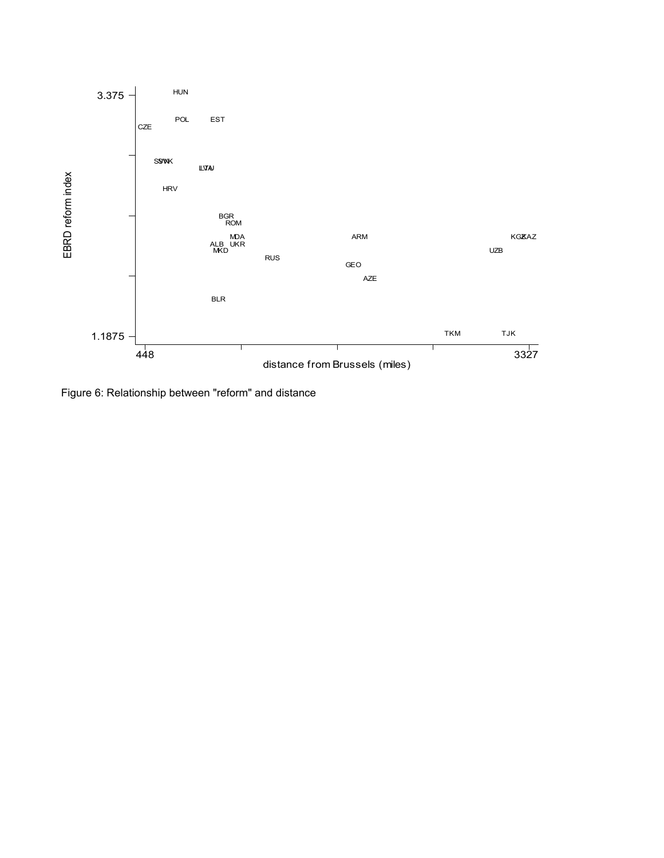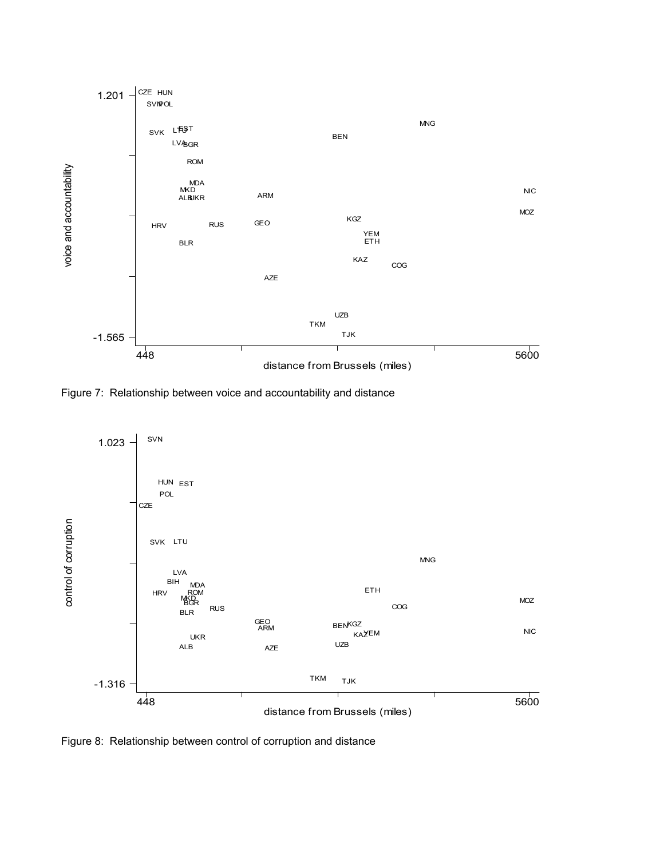

Figure 7: Relationship between voice and accountability and distance

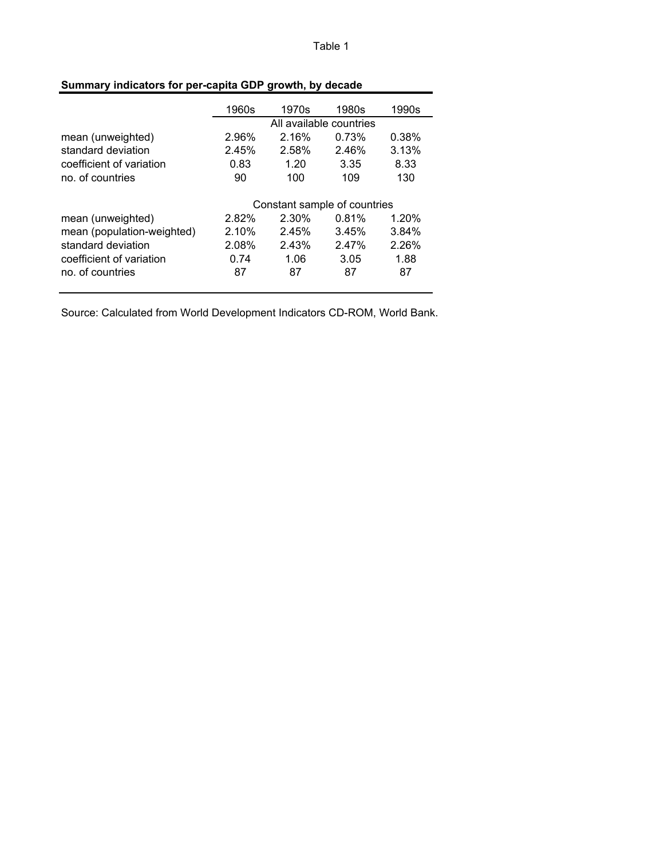|                            | 1960s                        | 1970s | 1980s | 1990s |  |  |
|----------------------------|------------------------------|-------|-------|-------|--|--|
|                            | All available countries      |       |       |       |  |  |
| mean (unweighted)          | 2.96%                        | 2.16% | 0.73% | 0.38% |  |  |
| standard deviation         | 2.45%                        | 2.58% | 2.46% | 3.13% |  |  |
| coefficient of variation   | 0.83                         | 1.20  | 3.35  | 8.33  |  |  |
| no, of countries           | 90                           | 100   | 109   | 130   |  |  |
|                            |                              |       |       |       |  |  |
|                            | Constant sample of countries |       |       |       |  |  |
| mean (unweighted)          | 2.82%                        | 2.30% | 0.81% | 1.20% |  |  |
| mean (population-weighted) | 2.10%                        | 2.45% | 3.45% | 3.84% |  |  |
| standard deviation         | 2.08%                        | 2.43% | 2.47% | 2.26% |  |  |
| coefficient of variation   | 0.74                         | 1.06  | 3.05  | 1.88  |  |  |
| no, of countries           | 87                           | 87    | 87    | 87    |  |  |
|                            |                              |       |       |       |  |  |

# **Summary indicators for per-capita GDP growth, by decade**

Source: Calculated from World Development Indicators CD-ROM, World Bank.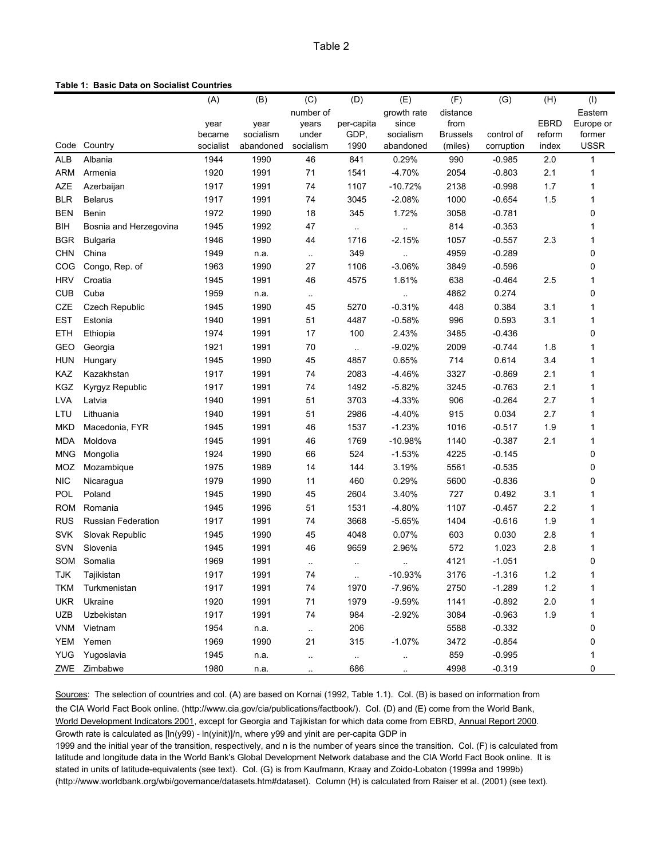**Table 1: Basic Data on Socialist Countries**

|            |                           | (A)       | (B)       | (C)                  | (D)             | (E)                  | (F)             | (G)        | (H)         | (1)         |
|------------|---------------------------|-----------|-----------|----------------------|-----------------|----------------------|-----------------|------------|-------------|-------------|
|            |                           |           |           | number of            |                 | growth rate          | distance        |            |             | Eastern     |
|            |                           | year      | year      | years                | per-capita      | since                | from            |            | <b>EBRD</b> | Europe or   |
|            |                           | became    | socialism | under                | GDP,            | socialism            | <b>Brussels</b> | control of | reform      | former      |
| Code       | Country                   | socialist | abandoned | socialism            | 1990            | abandoned            | (miles)         | corruption | index       | <b>USSR</b> |
| ALB        | Albania                   | 1944      | 1990      | 46                   | 841             | 0.29%                | 990             | $-0.985$   | 2.0         | 1           |
| <b>ARM</b> | Armenia                   | 1920      | 1991      | 71                   | 1541            | $-4.70%$             | 2054            | $-0.803$   | 2.1         | 1           |
| AZE        | Azerbaijan                | 1917      | 1991      | 74                   | 1107            | $-10.72%$            | 2138            | $-0.998$   | 1.7         | 1           |
| <b>BLR</b> | <b>Belarus</b>            | 1917      | 1991      | 74                   | 3045            | $-2.08%$             | 1000            | $-0.654$   | 1.5         | 1           |
| <b>BEN</b> | Benin                     | 1972      | 1990      | 18                   | 345             | 1.72%                | 3058            | $-0.781$   |             | 0           |
| BIH        | Bosnia and Herzegovina    | 1945      | 1992      | 47                   | $\sim$          | $\ddotsc$            | 814             | $-0.353$   |             | 1           |
| <b>BGR</b> | Bulgaria                  | 1946      | 1990      | 44                   | 1716            | $-2.15%$             | 1057            | $-0.557$   | 2.3         | 1           |
| <b>CHN</b> | China                     | 1949      | n.a.      | $\sim$               | 349             | $\ddotsc$            | 4959            | $-0.289$   |             | 0           |
| COG        | Congo, Rep. of            | 1963      | 1990      | 27                   | 1106            | $-3.06%$             | 3849            | $-0.596$   |             | 0           |
| <b>HRV</b> | Croatia                   | 1945      | 1991      | 46                   | 4575            | 1.61%                | 638             | $-0.464$   | 2.5         | 1           |
| <b>CUB</b> | Cuba                      | 1959      | n.a.      | $\ddot{\phantom{1}}$ |                 | $\ddot{\phantom{a}}$ | 4862            | 0.274      |             | 0           |
| CZE        | Czech Republic            | 1945      | 1990      | 45                   | 5270            | $-0.31%$             | 448             | 0.384      | 3.1         | 1           |
| <b>EST</b> | Estonia                   | 1940      | 1991      | 51                   | 4487            | $-0.58%$             | 996             | 0.593      | 3.1         | 1           |
| ETH        | Ethiopia                  | 1974      | 1991      | 17                   | 100             | 2.43%                | 3485            | $-0.436$   |             | 0           |
| GEO        | Georgia                   | 1921      | 1991      | 70                   | $\mathbf{r}$ .  | $-9.02%$             | 2009            | $-0.744$   | 1.8         | 1           |
| <b>HUN</b> | Hungary                   | 1945      | 1990      | 45                   | 4857            | 0.65%                | 714             | 0.614      | 3.4         | 1           |
| KAZ        | Kazakhstan                | 1917      | 1991      | 74                   | 2083            | $-4.46%$             | 3327            | $-0.869$   | 2.1         | 1           |
| <b>KGZ</b> | Kyrgyz Republic           | 1917      | 1991      | 74                   | 1492            | $-5.82%$             | 3245            | $-0.763$   | 2.1         | 1           |
| <b>LVA</b> | Latvia                    | 1940      | 1991      | 51                   | 3703            | $-4.33%$             | 906             | $-0.264$   | 2.7         | 1           |
| LTU        | Lithuania                 | 1940      | 1991      | 51                   | 2986            | $-4.40%$             | 915             | 0.034      | 2.7         | 1           |
| <b>MKD</b> | Macedonia, FYR            | 1945      | 1991      | 46                   | 1537            | $-1.23%$             | 1016            | $-0.517$   | 1.9         | 1           |
| <b>MDA</b> | Moldova                   | 1945      | 1991      | 46                   | 1769            | $-10.98%$            | 1140            | $-0.387$   | 2.1         | 1           |
| <b>MNG</b> | Mongolia                  | 1924      | 1990      | 66                   | 524             | $-1.53%$             | 4225            | $-0.145$   |             | 0           |
| MOZ        | Mozambique                | 1975      | 1989      | 14                   | 144             | 3.19%                | 5561            | $-0.535$   |             | 0           |
| <b>NIC</b> | Nicaragua                 | 1979      | 1990      | 11                   | 460             | 0.29%                | 5600            | $-0.836$   |             | 0           |
| POL        | Poland                    | 1945      | 1990      | 45                   | 2604            | 3.40%                | 727             | 0.492      | 3.1         | 1           |
| <b>ROM</b> | Romania                   | 1945      | 1996      | 51                   | 1531            | $-4.80%$             | 1107            | $-0.457$   | 2.2         | 1           |
| <b>RUS</b> | <b>Russian Federation</b> | 1917      | 1991      | 74                   | 3668            | $-5.65%$             | 1404            | $-0.616$   | 1.9         | 1           |
| <b>SVK</b> | Slovak Republic           | 1945      | 1990      | 45                   | 4048            | 0.07%                | 603             | 0.030      | 2.8         | 1           |
| <b>SVN</b> | Slovenia                  | 1945      | 1991      | 46                   | 9659            | 2.96%                | 572             | 1.023      | 2.8         | 1           |
| SOM        | Somalia                   | 1969      | 1991      | $\ldots$             | $\ddotsc$       |                      | 4121            | $-1.051$   |             | 0           |
| TJK        | Tajikistan                | 1917      | 1991      | 74                   |                 | $-10.93%$            | 3176            | $-1.316$   | $1.2$       | 1           |
| TKM        | Turkmenistan              | 1917      | 1991      | 74                   | 1970            | $-7.96%$             | 2750            | $-1.289$   | $1.2$       | 1           |
| <b>UKR</b> | Ukraine                   | 1920      | 1991      | $71$                 | 1979            | $-9.59%$             | 1141            | $-0.892$   | 2.0         |             |
| <b>UZB</b> | Uzbekistan                | 1917      | 1991      | 74                   | 984             | $-2.92%$             | 3084            | $-0.963$   | 1.9         |             |
| <b>VNM</b> | Vietnam                   | 1954      | n.a.      | $\bar{\mathcal{A}}$  | 206             |                      | 5588            | $-0.332$   |             | 0           |
| <b>YEM</b> | Yemen                     | 1969      | 1990      | 21                   | 315             | $-1.07%$             | 3472            | $-0.854$   |             | 0           |
| <b>YUG</b> | Yugoslavia                | 1945      | n.a.      |                      |                 |                      | 859             | $-0.995$   |             | 1           |
|            | ZWE Zimbabwe              | 1980      |           | $\ddot{\phantom{1}}$ | $\alpha$<br>686 | $\ddot{\phantom{1}}$ | 4998            | $-0.319$   |             | 0           |
|            |                           |           | n.a.      | $\ddotsc$            |                 | $\sim$               |                 |            |             |             |

Sources: The selection of countries and col. (A) are based on Kornai (1992, Table 1.1). Col. (B) is based on information from the CIA World Fact Book online. (http://www.cia.gov/cia/publications/factbook/). Col. (D) and (E) come from the World Bank, World Development Indicators 2001, except for Georgia and Tajikistan for which data come from EBRD, Annual Report 2000. Growth rate is calculated as [ln(y99) - ln(yinit)]/n, where y99 and yinit are per-capita GDP in

1999 and the initial year of the transition, respectively, and n is the number of years since the transition. Col. (F) is calculated from latitude and longitude data in the World Bank's Global Development Network database and the CIA World Fact Book online. It is stated in units of latitude-equivalents (see text). Col. (G) is from Kaufmann, Kraay and Zoido-Lobaton (1999a and 1999b) (http://www.worldbank.org/wbi/governance/datasets.htm#dataset). Column (H) is calculated from Raiser et al. (2001) (see text).